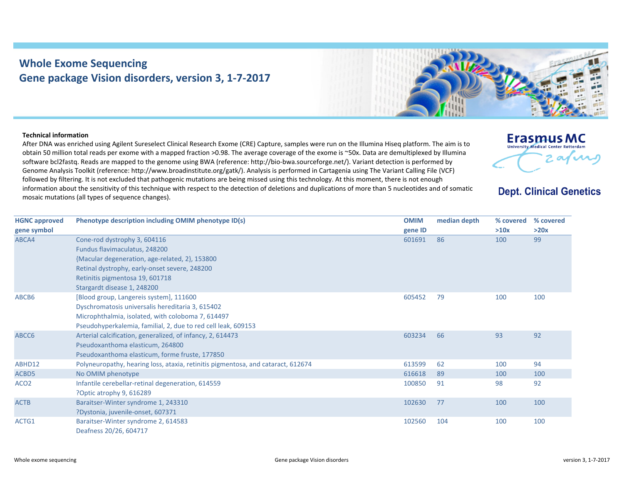## **Whole Exome Sequencing Gene package Vision disorders, version 3, 1‐7‐2017**



## **Technical information**

After DNA was enriched using Agilent Sureselect Clinical Research Exome (CRE) Capture, samples were run on the Illumina Hiseq platform. The aim is to obtain 50 million total reads per exome with <sup>a</sup> mapped fraction >0.98. The average coverage of the exome is ~50x. Data are demultiplexed by Illumina software bcl2fastq. Reads are mapped to the genome using BWA (reference: http://bio‐bwa.sourceforge.net/). Variant detection is performed by Genome Analysis Toolkit (reference: http://www.broadinstitute.org/gatk/). Analysis is performed in Cartagenia using The Variant Calling File (VCF) followed by filtering. It is not excluded that pathogenic mutations are being missed using this technology. At this moment, there is not enough information about the sensitivity of this technique with respect to the detection of deletions and duplications of more than 5 nucleotides and of somatic mosaic mutations (all types of sequence changes).



## **Dept. Clinical Genetics**

| <b>HGNC approved</b> | Phenotype description including OMIM phenotype ID(s)                             | <b>OMIM</b> | median depth | % covered | % covered |
|----------------------|----------------------------------------------------------------------------------|-------------|--------------|-----------|-----------|
| gene symbol          |                                                                                  | gene ID     |              | >10x      | >20x      |
| ABCA4                | Cone-rod dystrophy 3, 604116                                                     | 601691      | 86           | 100       | 99        |
|                      | Fundus flavimaculatus, 248200                                                    |             |              |           |           |
|                      | {Macular degeneration, age-related, 2}, 153800                                   |             |              |           |           |
|                      | Retinal dystrophy, early-onset severe, 248200                                    |             |              |           |           |
|                      | Retinitis pigmentosa 19, 601718                                                  |             |              |           |           |
|                      | Stargardt disease 1, 248200                                                      |             |              |           |           |
| ABCB6                | [Blood group, Langereis system], 111600                                          | 605452      | 79           | 100       | 100       |
|                      | Dyschromatosis universalis hereditaria 3, 615402                                 |             |              |           |           |
|                      | Microphthalmia, isolated, with coloboma 7, 614497                                |             |              |           |           |
|                      | Pseudohyperkalemia, familial, 2, due to red cell leak, 609153                    |             |              |           |           |
| ABCC6                | Arterial calcification, generalized, of infancy, 2, 614473                       | 603234      | 66           | 93        | 92        |
|                      | Pseudoxanthoma elasticum, 264800                                                 |             |              |           |           |
|                      | Pseudoxanthoma elasticum, forme fruste, 177850                                   |             |              |           |           |
| ABHD12               | Polyneuropathy, hearing loss, ataxia, retinitis pigmentosa, and cataract, 612674 | 613599      | 62           | 100       | 94        |
| ACBD5                | No OMIM phenotype                                                                | 616618      | 89           | 100       | 100       |
| ACO <sub>2</sub>     | Infantile cerebellar-retinal degeneration, 614559                                | 100850      | 91           | 98        | 92        |
|                      | ?Optic atrophy 9, 616289                                                         |             |              |           |           |
| <b>ACTB</b>          | Baraitser-Winter syndrome 1, 243310                                              | 102630      | 77           | 100       | 100       |
|                      | ?Dystonia, juvenile-onset, 607371                                                |             |              |           |           |
| ACTG1                | Baraitser-Winter syndrome 2, 614583                                              | 102560      | 104          | 100       | 100       |
|                      | Deafness 20/26, 604717                                                           |             |              |           |           |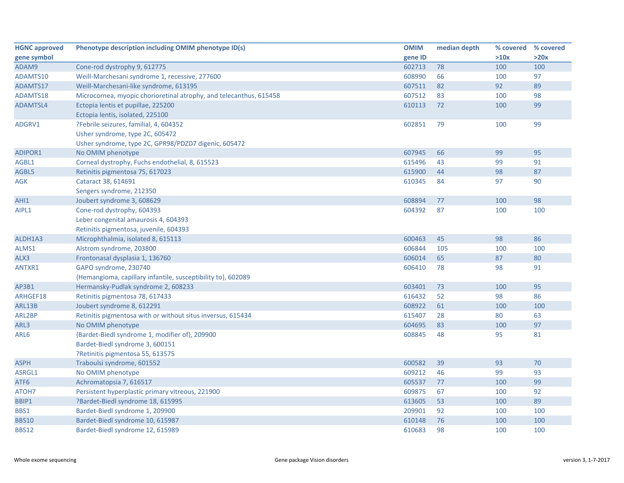| <b>HGNC approved</b> | Phenotype description including OMIM phenotype ID(s)               | <b>OMIM</b> | median depth | % covered % covered |      |
|----------------------|--------------------------------------------------------------------|-------------|--------------|---------------------|------|
| gene symbol          |                                                                    | gene ID     |              | >10x                | >20x |
| ADAM9                | Cone-rod dystrophy 9, 612775                                       | 602713      | 78           | 100                 | 100  |
| ADAMTS10             | Weill-Marchesani syndrome 1, recessive, 277600                     | 608990      | 66           | 100                 | 97   |
| ADAMTS17             | Weill-Marchesani-like syndrome, 613195                             | 607511      | 82           | 92                  | 89   |
| ADAMTS18             | Microcornea, myopic chorioretinal atrophy, and telecanthus, 615458 | 607512      | 83           | 100                 | 98   |
| <b>ADAMTSL4</b>      | Ectopia lentis et pupillae, 225200                                 | 610113      | 72           | 100                 | 99   |
|                      | Ectopia lentis, isolated, 225100                                   |             |              |                     |      |
| ADGRV1               | ?Febrile seizures, familial, 4, 604352                             | 602851      | 79           | 100                 | 99   |
|                      | Usher syndrome, type 2C, 605472                                    |             |              |                     |      |
|                      | Usher syndrome, type 2C, GPR98/PDZD7 digenic, 605472               |             |              |                     |      |
| ADIPOR1              | No OMIM phenotype                                                  | 607945      | 66           | 99                  | 95   |
| AGBL1                | Corneal dystrophy, Fuchs endothelial, 8, 615523                    | 615496      | 43           | 99                  | 91   |
| AGBL5                | Retinitis pigmentosa 75, 617023                                    | 615900      | 44           | 98                  | 87   |
| AGK                  | Cataract 38, 614691                                                | 610345      | 84           | 97                  | 90   |
|                      | Sengers syndrome, 212350                                           |             |              |                     |      |
| AHI1                 | Joubert syndrome 3, 608629                                         | 608894      | 77           | 100                 | 98   |
| AIPL1                | Cone-rod dystrophy, 604393                                         | 604392      | 87           | 100                 | 100  |
|                      | Leber congenital amaurosis 4, 604393                               |             |              |                     |      |
|                      | Retinitis pigmentosa, juvenile, 604393                             |             |              |                     |      |
| ALDH1A3              | Microphthalmia, isolated 8, 615113                                 | 600463      | 45           | 98                  | 86   |
| ALMS1                | Alstrom syndrome, 203800                                           | 606844      | 105          | 100                 | 100  |
| ALX3                 | Frontonasal dysplasia 1, 136760                                    | 606014      | 65           | 87                  | 80   |
| ANTXR1               | GAPO syndrome, 230740                                              | 606410      | 78           | 98                  | 91   |
|                      | {Hemangioma, capillary infantile, susceptibility to}, 602089       |             |              |                     |      |
| AP3B1                | Hermansky-Pudlak syndrome 2, 608233                                | 603401      | 73           | 100                 | 95   |
| ARHGEF18             | Retinitis pigmentosa 78, 617433                                    | 616432      | 52           | 98                  | 86   |
| ARL13B               | Joubert syndrome 8, 612291                                         | 608922      | 61           | 100                 | 100  |
| ARL2BP               | Retinitis pigmentosa with or without situs inversus, 615434        | 615407      | 28           | 80                  | 63   |
| ARL3                 | No OMIM phenotype                                                  | 604695      | 83           | 100                 | 97   |
| ARL6                 | {Bardet-Biedl syndrome 1, modifier of}, 209900                     | 608845      | 48           | 95                  | 81   |
|                      | Bardet-Biedl syndrome 3, 600151                                    |             |              |                     |      |
|                      | ?Retinitis pigmentosa 55, 613575                                   |             |              |                     |      |
| <b>ASPH</b>          | Traboulsi syndrome, 601552                                         | 600582      | 39           | 93                  | 70   |
| ASRGL1               | No OMIM phenotype                                                  | 609212      | 46           | 99                  | 93   |
| ATF6                 | Achromatopsia 7, 616517                                            | 605537      | 77           | 100                 | 99   |
| ATOH7                | Persistent hyperplastic primary vitreous, 221900                   | 609875      | 67           | 100                 | 92   |
| BBIP1                | ?Bardet-Biedl syndrome 18, 615995                                  | 613605      | 53           | 100                 | 89   |
| BBS1                 | Bardet-Biedl syndrome 1, 209900                                    | 209901      | 92           | 100                 | 100  |
| <b>BBS10</b>         | Bardet-Biedl syndrome 10, 615987                                   | 610148      | 76           | 100                 | 100  |
| <b>BBS12</b>         | Bardet-Biedl syndrome 12, 615989                                   | 610683      | 98           | 100                 | 100  |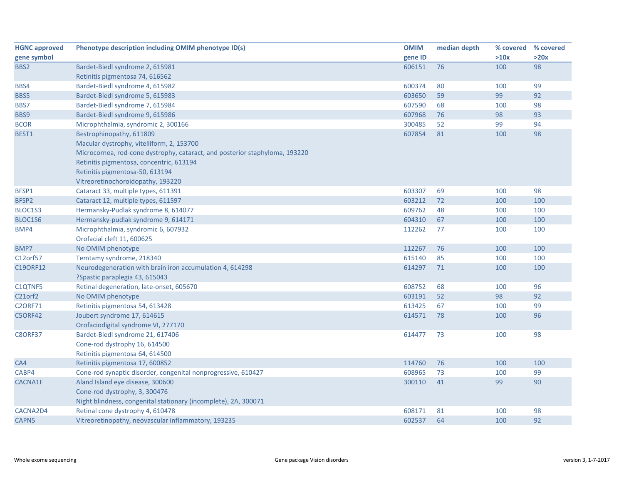| <b>HGNC approved</b> | Phenotype description including OMIM phenotype ID(s)                        | <b>OMIM</b> | median depth | % covered % covered |      |
|----------------------|-----------------------------------------------------------------------------|-------------|--------------|---------------------|------|
| gene symbol          |                                                                             | gene ID     |              | >10x                | >20x |
| BBS2                 | Bardet-Biedl syndrome 2, 615981                                             | 606151      | 76           | 100                 | 98   |
|                      | Retinitis pigmentosa 74, 616562                                             |             |              |                     |      |
| BBS4                 | Bardet-Biedl syndrome 4, 615982                                             | 600374      | 80           | 100                 | 99   |
| BBS5                 | Bardet-Biedl syndrome 5, 615983                                             | 603650      | 59           | 99                  | 92   |
| BBS7                 | Bardet-Biedl syndrome 7, 615984                                             | 607590      | 68           | 100                 | 98   |
| BBS9                 | Bardet-Biedl syndrome 9, 615986                                             | 607968      | 76           | 98                  | 93   |
| <b>BCOR</b>          | Microphthalmia, syndromic 2, 300166                                         | 300485      | 52           | 99                  | 94   |
| BEST1                | Bestrophinopathy, 611809                                                    | 607854      | 81           | 100                 | 98   |
|                      | Macular dystrophy, vitelliform, 2, 153700                                   |             |              |                     |      |
|                      | Microcornea, rod-cone dystrophy, cataract, and posterior staphyloma, 193220 |             |              |                     |      |
|                      | Retinitis pigmentosa, concentric, 613194                                    |             |              |                     |      |
|                      | Retinitis pigmentosa-50, 613194                                             |             |              |                     |      |
|                      | Vitreoretinochoroidopathy, 193220                                           |             |              |                     |      |
| BFSP1                | Cataract 33, multiple types, 611391                                         | 603307      | 69           | 100                 | 98   |
| BFSP2                | Cataract 12, multiple types, 611597                                         | 603212      | 72           | 100                 | 100  |
| BLOC1S3              | Hermansky-Pudlak syndrome 8, 614077                                         | 609762      | 48           | 100                 | 100  |
| BLOC1S6              | Hermansky-pudlak syndrome 9, 614171                                         | 604310      | 67           | 100                 | 100  |
| BMP4                 | Microphthalmia, syndromic 6, 607932                                         | 112262      | 77           | 100                 | 100  |
|                      | Orofacial cleft 11, 600625                                                  |             |              |                     |      |
| BMP7                 | No OMIM phenotype                                                           | 112267      | 76           | 100                 | 100  |
| C12orf57             | Temtamy syndrome, 218340                                                    | 615140      | 85           | 100                 | 100  |
| C19ORF12             | Neurodegeneration with brain iron accumulation 4, 614298                    | 614297      | 71           | 100                 | 100  |
|                      | ?Spastic paraplegia 43, 615043                                              |             |              |                     |      |
| C1QTNF5              | Retinal degeneration, late-onset, 605670                                    | 608752      | 68           | 100                 | 96   |
| C21orf2              | No OMIM phenotype                                                           | 603191      | 52           | 98                  | 92   |
| <b>C2ORF71</b>       | Retinitis pigmentosa 54, 613428                                             | 613425      | 67           | 100                 | 99   |
| <b>C5ORF42</b>       | Joubert syndrome 17, 614615                                                 | 614571      | 78           | 100                 | 96   |
|                      | Orofaciodigital syndrome VI, 277170                                         |             |              |                     |      |
| <b>C8ORF37</b>       | Bardet-Biedl syndrome 21, 617406                                            | 614477      | 73           | 100                 | 98   |
|                      | Cone-rod dystrophy 16, 614500                                               |             |              |                     |      |
|                      | Retinitis pigmentosa 64, 614500                                             |             |              |                     |      |
| CA4                  | Retinitis pigmentosa 17, 600852                                             | 114760      | 76           | 100                 | 100  |
| CABP4                | Cone-rod synaptic disorder, congenital nonprogressive, 610427               | 608965      | 73           | 100                 | 99   |
| <b>CACNA1F</b>       | Aland Island eye disease, 300600                                            | 300110      | 41           | 99                  | 90   |
|                      | Cone-rod dystrophy, 3, 300476                                               |             |              |                     |      |
|                      | Night blindness, congenital stationary (incomplete), 2A, 300071             |             |              |                     |      |
| CACNA2D4             | Retinal cone dystrophy 4, 610478                                            | 608171      | 81           | 100                 | 98   |
| CAPN <sub>5</sub>    | Vitreoretinopathy, neovascular inflammatory, 193235                         | 602537      | 64           | 100                 | 92   |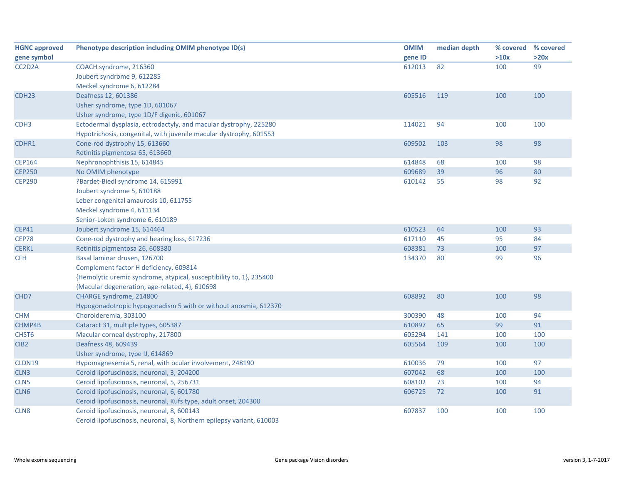| <b>HGNC approved</b> | Phenotype description including OMIM phenotype ID(s)                  | <b>OMIM</b> | median depth | % covered | % covered |
|----------------------|-----------------------------------------------------------------------|-------------|--------------|-----------|-----------|
| gene symbol          |                                                                       | gene ID     |              | >10x      | >20x      |
| CC2D2A               | COACH syndrome, 216360                                                | 612013      | 82           | 100       | 99        |
|                      | Joubert syndrome 9, 612285                                            |             |              |           |           |
|                      | Meckel syndrome 6, 612284                                             |             |              |           |           |
| CDH <sub>23</sub>    | Deafness 12, 601386                                                   | 605516      | 119          | 100       | 100       |
|                      | Usher syndrome, type 1D, 601067                                       |             |              |           |           |
|                      | Usher syndrome, type 1D/F digenic, 601067                             |             |              |           |           |
| CDH <sub>3</sub>     | Ectodermal dysplasia, ectrodactyly, and macular dystrophy, 225280     | 114021      | 94           | 100       | 100       |
|                      | Hypotrichosis, congenital, with juvenile macular dystrophy, 601553    |             |              |           |           |
| CDHR1                | Cone-rod dystrophy 15, 613660                                         | 609502      | 103          | 98        | 98        |
|                      | Retinitis pigmentosa 65, 613660                                       |             |              |           |           |
| <b>CEP164</b>        | Nephronophthisis 15, 614845                                           | 614848      | 68           | 100       | 98        |
| <b>CEP250</b>        | No OMIM phenotype                                                     | 609689      | 39           | 96        | 80        |
| <b>CEP290</b>        | ?Bardet-Biedl syndrome 14, 615991                                     | 610142      | 55           | 98        | 92        |
|                      | Joubert syndrome 5, 610188                                            |             |              |           |           |
|                      | Leber congenital amaurosis 10, 611755                                 |             |              |           |           |
|                      | Meckel syndrome 4, 611134                                             |             |              |           |           |
|                      | Senior-Loken syndrome 6, 610189                                       |             |              |           |           |
| <b>CEP41</b>         | Joubert syndrome 15, 614464                                           | 610523      | 64           | 100       | 93        |
| <b>CEP78</b>         | Cone-rod dystrophy and hearing loss, 617236                           | 617110      | 45           | 95        | 84        |
| <b>CERKL</b>         | Retinitis pigmentosa 26, 608380                                       | 608381      | 73           | 100       | 97        |
| <b>CFH</b>           | Basal laminar drusen, 126700                                          | 134370      | 80           | 99        | 96        |
|                      | Complement factor H deficiency, 609814                                |             |              |           |           |
|                      | {Hemolytic uremic syndrome, atypical, susceptibility to, 1}, 235400   |             |              |           |           |
|                      | {Macular degeneration, age-related, 4}, 610698                        |             |              |           |           |
| CHD7                 | CHARGE syndrome, 214800                                               | 608892      | 80           | 100       | 98        |
|                      | Hypogonadotropic hypogonadism 5 with or without anosmia, 612370       |             |              |           |           |
| <b>CHM</b>           | Choroideremia, 303100                                                 | 300390      | 48           | 100       | 94        |
| CHMP4B               | Cataract 31, multiple types, 605387                                   | 610897      | 65           | 99        | 91        |
| CHST <sub>6</sub>    | Macular corneal dystrophy, 217800                                     | 605294      | 141          | 100       | 100       |
| CIB <sub>2</sub>     | Deafness 48, 609439                                                   | 605564      | 109          | 100       | 100       |
|                      | Usher syndrome, type IJ, 614869                                       |             |              |           |           |
| CLDN19               | Hypomagnesemia 5, renal, with ocular involvement, 248190              | 610036      | 79           | 100       | 97        |
| CLN3                 | Ceroid lipofuscinosis, neuronal, 3, 204200                            | 607042      | 68           | 100       | 100       |
| CLN <sub>5</sub>     | Ceroid lipofuscinosis, neuronal, 5, 256731                            | 608102      | 73           | 100       | 94        |
| CLN <sub>6</sub>     | Ceroid lipofuscinosis, neuronal, 6, 601780                            | 606725      | 72           | 100       | 91        |
|                      | Ceroid lipofuscinosis, neuronal, Kufs type, adult onset, 204300       |             |              |           |           |
| CLN <sub>8</sub>     | Ceroid lipofuscinosis, neuronal, 8, 600143                            | 607837      | 100          | 100       | 100       |
|                      | Ceroid lipofuscinosis, neuronal, 8, Northern epilepsy variant, 610003 |             |              |           |           |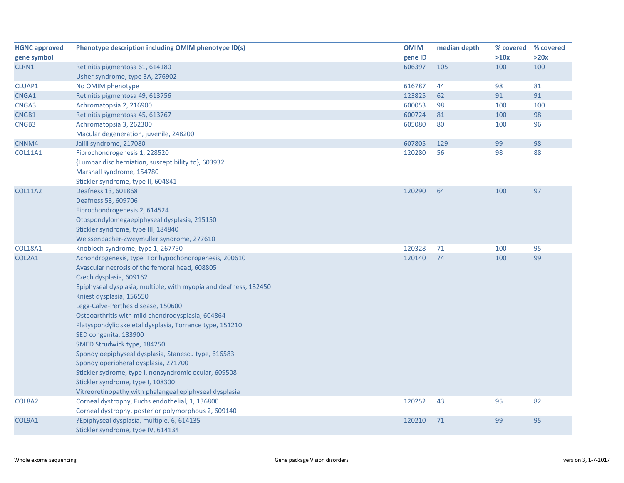| <b>HGNC approved</b> | Phenotype description including OMIM phenotype ID(s)             | <b>OMIM</b> | median depth |      | % covered % covered |
|----------------------|------------------------------------------------------------------|-------------|--------------|------|---------------------|
| gene symbol          |                                                                  | gene ID     |              | >10x | >20x                |
| CLRN1                | Retinitis pigmentosa 61, 614180                                  | 606397      | 105          | 100  | 100                 |
|                      | Usher syndrome, type 3A, 276902                                  |             |              |      |                     |
| CLUAP1               | No OMIM phenotype                                                | 616787      | 44           | 98   | 81                  |
| CNGA1                | Retinitis pigmentosa 49, 613756                                  | 123825      | 62           | 91   | 91                  |
| CNGA3                | Achromatopsia 2, 216900                                          | 600053      | 98           | 100  | 100                 |
| CNGB1                | Retinitis pigmentosa 45, 613767                                  | 600724      | 81           | 100  | 98                  |
| CNGB3                | Achromatopsia 3, 262300                                          | 605080      | 80           | 100  | 96                  |
|                      | Macular degeneration, juvenile, 248200                           |             |              |      |                     |
| CNNM4                | Jalili syndrome, 217080                                          | 607805      | 129          | 99   | 98                  |
| <b>COL11A1</b>       | Fibrochondrogenesis 1, 228520                                    | 120280      | 56           | 98   | 88                  |
|                      | {Lumbar disc herniation, susceptibility to}, 603932              |             |              |      |                     |
|                      | Marshall syndrome, 154780                                        |             |              |      |                     |
|                      | Stickler syndrome, type II, 604841                               |             |              |      |                     |
| <b>COL11A2</b>       | Deafness 13, 601868                                              | 120290      | 64           | 100  | 97                  |
|                      | Deafness 53, 609706                                              |             |              |      |                     |
|                      | Fibrochondrogenesis 2, 614524                                    |             |              |      |                     |
|                      | Otospondylomegaepiphyseal dysplasia, 215150                      |             |              |      |                     |
|                      | Stickler syndrome, type III, 184840                              |             |              |      |                     |
|                      | Weissenbacher-Zweymuller syndrome, 277610                        |             |              |      |                     |
| <b>COL18A1</b>       | Knobloch syndrome, type 1, 267750                                | 120328      | 71           | 100  | 95                  |
| COL2A1               | Achondrogenesis, type II or hypochondrogenesis, 200610           | 120140      | 74           | 100  | 99                  |
|                      | Avascular necrosis of the femoral head, 608805                   |             |              |      |                     |
|                      | Czech dysplasia, 609162                                          |             |              |      |                     |
|                      | Epiphyseal dysplasia, multiple, with myopia and deafness, 132450 |             |              |      |                     |
|                      | Kniest dysplasia, 156550                                         |             |              |      |                     |
|                      | Legg-Calve-Perthes disease, 150600                               |             |              |      |                     |
|                      | Osteoarthritis with mild chondrodysplasia, 604864                |             |              |      |                     |
|                      | Platyspondylic skeletal dysplasia, Torrance type, 151210         |             |              |      |                     |
|                      | SED congenita, 183900                                            |             |              |      |                     |
|                      | SMED Strudwick type, 184250                                      |             |              |      |                     |
|                      | Spondyloepiphyseal dysplasia, Stanescu type, 616583              |             |              |      |                     |
|                      | Spondyloperipheral dysplasia, 271700                             |             |              |      |                     |
|                      | Stickler sydrome, type I, nonsyndromic ocular, 609508            |             |              |      |                     |
|                      | Stickler syndrome, type I, 108300                                |             |              |      |                     |
|                      | Vitreoretinopathy with phalangeal epiphyseal dysplasia           |             |              |      |                     |
| COL8A2               | Corneal dystrophy, Fuchs endothelial, 1, 136800                  | 120252      | 43           | 95   | 82                  |
|                      | Corneal dystrophy, posterior polymorphous 2, 609140              |             |              |      |                     |
| COL9A1               | ?Epiphyseal dysplasia, multiple, 6, 614135                       | 120210      | 71           | 99   | 95                  |
|                      | Stickler syndrome, type IV, 614134                               |             |              |      |                     |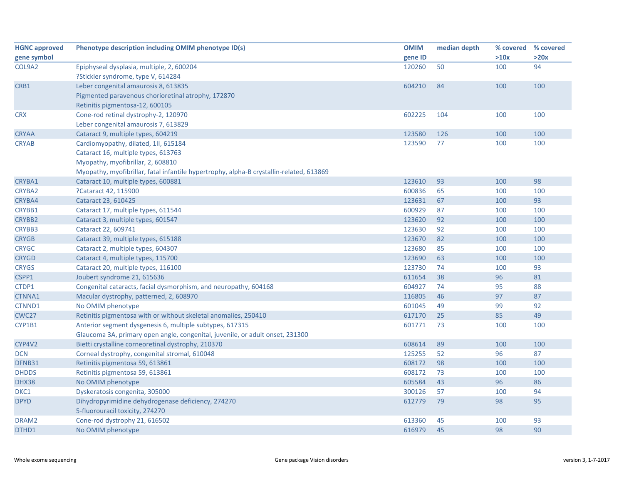| <b>HGNC approved</b> | Phenotype description including OMIM phenotype ID(s)                                    | <b>OMIM</b> | median depth |      | % covered % covered |
|----------------------|-----------------------------------------------------------------------------------------|-------------|--------------|------|---------------------|
| gene symbol          |                                                                                         | gene ID     |              | >10x | >20x                |
| COL9A2               | Epiphyseal dysplasia, multiple, 2, 600204                                               | 120260      | 50           | 100  | 94                  |
|                      | ?Stickler syndrome, type V, 614284                                                      |             |              |      |                     |
| CRB1                 | Leber congenital amaurosis 8, 613835                                                    | 604210      | 84           | 100  | 100                 |
|                      | Pigmented paravenous chorioretinal atrophy, 172870                                      |             |              |      |                     |
|                      | Retinitis pigmentosa-12, 600105                                                         |             |              |      |                     |
| <b>CRX</b>           | Cone-rod retinal dystrophy-2, 120970                                                    | 602225      | 104          | 100  | 100                 |
|                      | Leber congenital amaurosis 7, 613829                                                    |             |              |      |                     |
| <b>CRYAA</b>         | Cataract 9, multiple types, 604219                                                      | 123580      | 126          | 100  | 100                 |
| <b>CRYAB</b>         | Cardiomyopathy, dilated, 1ll, 615184                                                    | 123590      | 77           | 100  | 100                 |
|                      | Cataract 16, multiple types, 613763                                                     |             |              |      |                     |
|                      | Myopathy, myofibrillar, 2, 608810                                                       |             |              |      |                     |
|                      | Myopathy, myofibrillar, fatal infantile hypertrophy, alpha-B crystallin-related, 613869 |             |              |      |                     |
| CRYBA1               | Cataract 10, multiple types, 600881                                                     | 123610      | 93           | 100  | 98                  |
| <b>CRYBA2</b>        | ?Cataract 42, 115900                                                                    | 600836      | 65           | 100  | 100                 |
| CRYBA4               | Cataract 23, 610425                                                                     | 123631      | 67           | 100  | 93                  |
| CRYBB1               | Cataract 17, multiple types, 611544                                                     | 600929      | 87           | 100  | 100                 |
| <b>CRYBB2</b>        | Cataract 3, multiple types, 601547                                                      | 123620      | 92           | 100  | 100                 |
| <b>CRYBB3</b>        | Cataract 22, 609741                                                                     | 123630      | 92           | 100  | 100                 |
| <b>CRYGB</b>         | Cataract 39, multiple types, 615188                                                     | 123670      | 82           | 100  | 100                 |
| <b>CRYGC</b>         | Cataract 2, multiple types, 604307                                                      | 123680      | 85           | 100  | 100                 |
| <b>CRYGD</b>         | Cataract 4, multiple types, 115700                                                      | 123690      | 63           | 100  | 100                 |
| <b>CRYGS</b>         | Cataract 20, multiple types, 116100                                                     | 123730      | 74           | 100  | 93                  |
| CSPP1                | Joubert syndrome 21, 615636                                                             | 611654      | 38           | 96   | 81                  |
| CTDP1                | Congenital cataracts, facial dysmorphism, and neuropathy, 604168                        | 604927      | 74           | 95   | 88                  |
| CTNNA1               | Macular dystrophy, patterned, 2, 608970                                                 | 116805      | 46           | 97   | 87                  |
| CTNND1               | No OMIM phenotype                                                                       | 601045      | 49           | 99   | 92                  |
| <b>CWC27</b>         | Retinitis pigmentosa with or without skeletal anomalies, 250410                         | 617170      | 25           | 85   | 49                  |
| CYP1B1               | Anterior segment dysgenesis 6, multiple subtypes, 617315                                | 601771      | 73           | 100  | 100                 |
|                      | Glaucoma 3A, primary open angle, congenital, juvenile, or adult onset, 231300           |             |              |      |                     |
| CYP4V2               | Bietti crystalline corneoretinal dystrophy, 210370                                      | 608614      | 89           | 100  | 100                 |
| <b>DCN</b>           | Corneal dystrophy, congenital stromal, 610048                                           | 125255      | 52           | 96   | 87                  |
| DFNB31               | Retinitis pigmentosa 59, 613861                                                         | 608172      | 98           | 100  | 100                 |
| <b>DHDDS</b>         | Retinitis pigmentosa 59, 613861                                                         | 608172      | 73           | 100  | 100                 |
| DHX38                | No OMIM phenotype                                                                       | 605584      | 43           | 96   | 86                  |
| DKC1                 | Dyskeratosis congenita, 305000                                                          | 300126      | 57           | 100  | 94                  |
| <b>DPYD</b>          | Dihydropyrimidine dehydrogenase deficiency, 274270                                      | 612779      | 79           | 98   | 95                  |
|                      | 5-fluorouracil toxicity, 274270                                                         |             |              |      |                     |
| DRAM2                | Cone-rod dystrophy 21, 616502                                                           | 613360      | 45           | 100  | 93                  |
| DTHD1                | No OMIM phenotype                                                                       | 616979      | 45           | 98   | 90                  |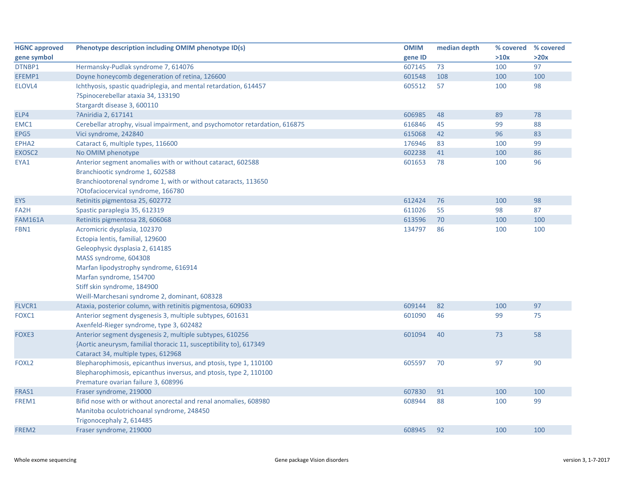| <b>HGNC approved</b> | Phenotype description including OMIM phenotype ID(s)                       | <b>OMIM</b> | median depth | % covered % covered |      |
|----------------------|----------------------------------------------------------------------------|-------------|--------------|---------------------|------|
| gene symbol          |                                                                            | gene ID     |              | >10x                | >20x |
| DTNBP1               | Hermansky-Pudlak syndrome 7, 614076                                        | 607145      | 73           | 100                 | 97   |
| EFEMP1               | Doyne honeycomb degeneration of retina, 126600                             | 601548      | 108          | 100                 | 100  |
| ELOVL4               | Ichthyosis, spastic quadriplegia, and mental retardation, 614457           | 605512      | 57           | 100                 | 98   |
|                      | ?Spinocerebellar ataxia 34, 133190                                         |             |              |                     |      |
|                      | Stargardt disease 3, 600110                                                |             |              |                     |      |
| ELP4                 | ?Aniridia 2, 617141                                                        | 606985      | 48           | 89                  | 78   |
| EMC1                 | Cerebellar atrophy, visual impairment, and psychomotor retardation, 616875 | 616846      | 45           | 99                  | 88   |
| EPG5                 | Vici syndrome, 242840                                                      | 615068      | 42           | 96                  | 83   |
| EPHA <sub>2</sub>    | Cataract 6, multiple types, 116600                                         | 176946      | 83           | 100                 | 99   |
| EXOSC2               | No OMIM phenotype                                                          | 602238      | 41           | 100                 | 86   |
| EYA1                 | Anterior segment anomalies with or without cataract, 602588                | 601653      | 78           | 100                 | 96   |
|                      | Branchiootic syndrome 1, 602588                                            |             |              |                     |      |
|                      | Branchiootorenal syndrome 1, with or without cataracts, 113650             |             |              |                     |      |
|                      | ?Otofaciocervical syndrome, 166780                                         |             |              |                     |      |
| <b>EYS</b>           | Retinitis pigmentosa 25, 602772                                            | 612424      | 76           | 100                 | 98   |
| FA <sub>2</sub> H    | Spastic paraplegia 35, 612319                                              | 611026      | 55           | 98                  | 87   |
| <b>FAM161A</b>       | Retinitis pigmentosa 28, 606068                                            | 613596      | 70           | 100                 | 100  |
| FBN1                 | Acromicric dysplasia, 102370                                               | 134797      | 86           | 100                 | 100  |
|                      | Ectopia lentis, familial, 129600                                           |             |              |                     |      |
|                      | Geleophysic dysplasia 2, 614185                                            |             |              |                     |      |
|                      | MASS syndrome, 604308                                                      |             |              |                     |      |
|                      | Marfan lipodystrophy syndrome, 616914                                      |             |              |                     |      |
|                      | Marfan syndrome, 154700                                                    |             |              |                     |      |
|                      | Stiff skin syndrome, 184900                                                |             |              |                     |      |
|                      | Weill-Marchesani syndrome 2, dominant, 608328                              |             |              |                     |      |
| FLVCR1               | Ataxia, posterior column, with retinitis pigmentosa, 609033                | 609144      | 82           | 100                 | 97   |
| FOXC1                | Anterior segment dysgenesis 3, multiple subtypes, 601631                   | 601090      | 46           | 99                  | 75   |
|                      | Axenfeld-Rieger syndrome, type 3, 602482                                   |             |              |                     |      |
| FOXE3                | Anterior segment dysgenesis 2, multiple subtypes, 610256                   | 601094      | 40           | 73                  | 58   |
|                      | {Aortic aneurysm, familial thoracic 11, susceptibility to}, 617349         |             |              |                     |      |
|                      | Cataract 34, multiple types, 612968                                        |             |              |                     |      |
| FOXL <sub>2</sub>    | Blepharophimosis, epicanthus inversus, and ptosis, type 1, 110100          | 605597      | 70           | 97                  | 90   |
|                      | Blepharophimosis, epicanthus inversus, and ptosis, type 2, 110100          |             |              |                     |      |
|                      | Premature ovarian failure 3, 608996                                        |             |              |                     |      |
| FRAS1                | Fraser syndrome, 219000                                                    | 607830      | 91           | 100                 | 100  |
| FREM1                | Bifid nose with or without anorectal and renal anomalies, 608980           | 608944      | 88           | 100                 | 99   |
|                      | Manitoba oculotrichoanal syndrome, 248450                                  |             |              |                     |      |
|                      | Trigonocephaly 2, 614485                                                   |             |              |                     |      |
| FREM2                | Fraser syndrome, 219000                                                    | 608945      | 92           | 100                 | 100  |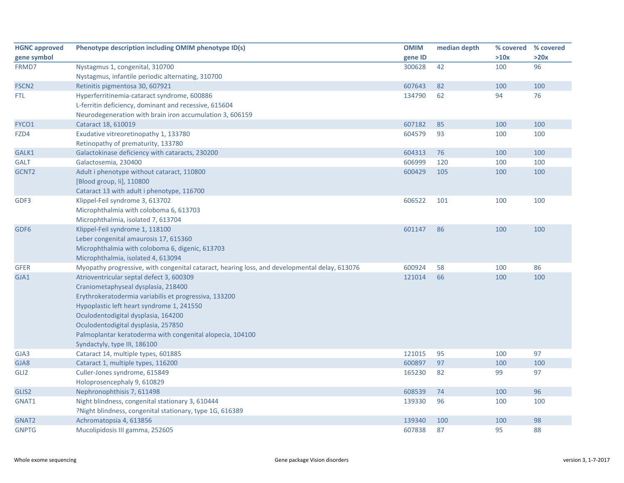| <b>HGNC approved</b> | Phenotype description including OMIM phenotype ID(s)                                          | <b>OMIM</b> | median depth | % covered % covered |      |
|----------------------|-----------------------------------------------------------------------------------------------|-------------|--------------|---------------------|------|
| gene symbol          |                                                                                               | gene ID     |              | >10x                | >20x |
| FRMD7                | Nystagmus 1, congenital, 310700                                                               | 300628      | 42           | 100                 | 96   |
|                      | Nystagmus, infantile periodic alternating, 310700                                             |             |              |                     |      |
| FSCN <sub>2</sub>    | Retinitis pigmentosa 30, 607921                                                               | 607643      | 82           | 100                 | 100  |
| <b>FTL</b>           | Hyperferritinemia-cataract syndrome, 600886                                                   | 134790      | 62           | 94                  | 76   |
|                      | L-ferritin deficiency, dominant and recessive, 615604                                         |             |              |                     |      |
|                      | Neurodegeneration with brain iron accumulation 3, 606159                                      |             |              |                     |      |
| FYCO1                | Cataract 18, 610019                                                                           | 607182      | 85           | 100                 | 100  |
| FZD4                 | Exudative vitreoretinopathy 1, 133780                                                         | 604579      | 93           | 100                 | 100  |
|                      | Retinopathy of prematurity, 133780                                                            |             |              |                     |      |
| GALK1                | Galactokinase deficiency with cataracts, 230200                                               | 604313      | 76           | 100                 | 100  |
| <b>GALT</b>          | Galactosemia, 230400                                                                          | 606999      | 120          | 100                 | 100  |
| GCNT <sub>2</sub>    | Adult i phenotype without cataract, 110800                                                    | 600429      | 105          | 100                 | 100  |
|                      | [Blood group, li], 110800                                                                     |             |              |                     |      |
|                      | Cataract 13 with adult i phenotype, 116700                                                    |             |              |                     |      |
| GDF3                 | Klippel-Feil syndrome 3, 613702                                                               | 606522      | 101          | 100                 | 100  |
|                      | Microphthalmia with coloboma 6, 613703                                                        |             |              |                     |      |
|                      | Microphthalmia, isolated 7, 613704                                                            |             |              |                     |      |
| GDF <sub>6</sub>     | Klippel-Feil syndrome 1, 118100                                                               | 601147      | 86           | 100                 | 100  |
|                      | Leber congenital amaurosis 17, 615360                                                         |             |              |                     |      |
|                      | Microphthalmia with coloboma 6, digenic, 613703                                               |             |              |                     |      |
|                      | Microphthalmia, isolated 4, 613094                                                            |             |              |                     |      |
| <b>GFER</b>          | Myopathy progressive, with congenital cataract, hearing loss, and developmental delay, 613076 | 600924      | 58           | 100                 | 86   |
| GJA1                 | Atrioventricular septal defect 3, 600309                                                      | 121014      | 66           | 100                 | 100  |
|                      | Craniometaphyseal dysplasia, 218400                                                           |             |              |                     |      |
|                      | Erythrokeratodermia variabilis et progressiva, 133200                                         |             |              |                     |      |
|                      | Hypoplastic left heart syndrome 1, 241550                                                     |             |              |                     |      |
|                      | Oculodentodigital dysplasia, 164200                                                           |             |              |                     |      |
|                      | Oculodentodigital dysplasia, 257850                                                           |             |              |                     |      |
|                      | Palmoplantar keratoderma with congenital alopecia, 104100                                     |             |              |                     |      |
|                      | Syndactyly, type III, 186100                                                                  |             |              |                     |      |
| GJA3                 | Cataract 14, multiple types, 601885                                                           | 121015      | 95           | 100                 | 97   |
| GJA8                 | Cataract 1, multiple types, 116200                                                            | 600897      | 97           | 100                 | 100  |
| GLI <sub>2</sub>     | Culler-Jones syndrome, 615849                                                                 | 165230      | 82           | 99                  | 97   |
|                      | Holoprosencephaly 9, 610829                                                                   |             |              |                     |      |
| GLIS2                | Nephronophthisis 7, 611498                                                                    | 608539      | 74           | 100                 | 96   |
| GNAT1                | Night blindness, congenital stationary 3, 610444                                              | 139330      | 96           | 100                 | 100  |
|                      | ?Night blindness, congenital stationary, type 1G, 616389                                      |             |              |                     |      |
| GNAT2                | Achromatopsia 4, 613856                                                                       | 139340      | 100          | 100                 | 98   |
| <b>GNPTG</b>         | Mucolipidosis III gamma, 252605                                                               | 607838      | 87           | 95                  | 88   |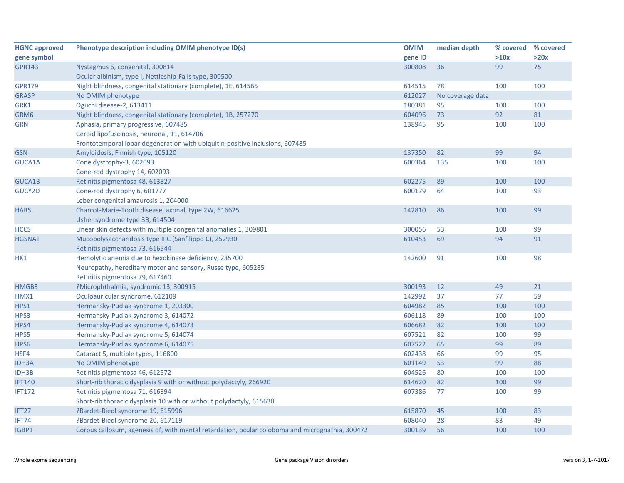| <b>HGNC approved</b> | Phenotype description including OMIM phenotype ID(s)                                            | <b>OMIM</b> | median depth     | % covered | % covered |
|----------------------|-------------------------------------------------------------------------------------------------|-------------|------------------|-----------|-----------|
| gene symbol          |                                                                                                 | gene ID     |                  | >10x      | >20x      |
| <b>GPR143</b>        | Nystagmus 6, congenital, 300814                                                                 | 300808      | 36               | 99        | 75        |
|                      | Ocular albinism, type I, Nettleship-Falls type, 300500                                          |             |                  |           |           |
| <b>GPR179</b>        | Night blindness, congenital stationary (complete), 1E, 614565                                   | 614515      | 78               | 100       | 100       |
| <b>GRASP</b>         | No OMIM phenotype                                                                               | 612027      | No coverage data |           |           |
| GRK1                 | Oguchi disease-2, 613411                                                                        | 180381      | 95               | 100       | 100       |
| GRM6                 | Night blindness, congenital stationary (complete), 1B, 257270                                   | 604096      | 73               | 92        | 81        |
| <b>GRN</b>           | Aphasia, primary progressive, 607485                                                            | 138945      | 95               | 100       | 100       |
|                      | Ceroid lipofuscinosis, neuronal, 11, 614706                                                     |             |                  |           |           |
|                      | Frontotemporal lobar degeneration with ubiquitin-positive inclusions, 607485                    |             |                  |           |           |
| <b>GSN</b>           | Amyloidosis, Finnish type, 105120                                                               | 137350      | 82               | 99        | 94        |
| GUCA1A               | Cone dystrophy-3, 602093                                                                        | 600364      | 135              | 100       | 100       |
|                      | Cone-rod dystrophy 14, 602093                                                                   |             |                  |           |           |
| GUCA1B               | Retinitis pigmentosa 48, 613827                                                                 | 602275      | 89               | 100       | 100       |
| <b>GUCY2D</b>        | Cone-rod dystrophy 6, 601777                                                                    | 600179      | 64               | 100       | 93        |
|                      | Leber congenital amaurosis 1, 204000                                                            |             |                  |           |           |
| <b>HARS</b>          | Charcot-Marie-Tooth disease, axonal, type 2W, 616625                                            | 142810      | 86               | 100       | 99        |
|                      | Usher syndrome type 3B, 614504                                                                  |             |                  |           |           |
| HCCS                 | Linear skin defects with multiple congenital anomalies 1, 309801                                | 300056      | 53               | 100       | 99        |
| <b>HGSNAT</b>        | Mucopolysaccharidosis type IIIC (Sanfilippo C), 252930                                          | 610453      | 69               | 94        | 91        |
|                      | Retinitis pigmentosa 73, 616544                                                                 |             |                  |           |           |
| HK1                  | Hemolytic anemia due to hexokinase deficiency, 235700                                           | 142600      | 91               | 100       | 98        |
|                      | Neuropathy, hereditary motor and sensory, Russe type, 605285                                    |             |                  |           |           |
|                      | Retinitis pigmentosa 79, 617460                                                                 |             |                  |           |           |
| HMGB3                | ?Microphthalmia, syndromic 13, 300915                                                           | 300193      | 12               | 49        | 21        |
| HMX1                 | Oculoauricular syndrome, 612109                                                                 | 142992      | 37               | 77        | 59        |
| HPS1                 | Hermansky-Pudlak syndrome 1, 203300                                                             | 604982      | 85               | 100       | 100       |
| HPS3                 | Hermansky-Pudlak syndrome 3, 614072                                                             | 606118      | 89               | 100       | 100       |
| HPS4                 | Hermansky-Pudlak syndrome 4, 614073                                                             | 606682      | 82               | 100       | 100       |
| HPS5                 | Hermansky-Pudlak syndrome 5, 614074                                                             | 607521      | 82               | 100       | 99        |
| HPS6                 | Hermansky-Pudlak syndrome 6, 614075                                                             | 607522      | 65               | 99        | 89        |
| HSF4                 | Cataract 5, multiple types, 116800                                                              | 602438      | 66               | 99        | 95        |
| <b>IDH3A</b>         | No OMIM phenotype                                                                               | 601149      | 53               | 99        | 88        |
| <b>IDH3B</b>         | Retinitis pigmentosa 46, 612572                                                                 | 604526      | 80               | 100       | 100       |
| <b>IFT140</b>        | Short-rib thoracic dysplasia 9 with or without polydactyly, 266920                              | 614620      | 82               | 100       | 99        |
| <b>IFT172</b>        | Retinitis pigmentosa 71, 616394                                                                 | 607386      | 77               | 100       | 99        |
|                      | Short-rib thoracic dysplasia 10 with or without polydactyly, 615630                             |             |                  |           |           |
| IFT27                | ?Bardet-Biedl syndrome 19, 615996                                                               | 615870      | 45               | 100       | 83        |
| IFT74                | ?Bardet-Biedl syndrome 20, 617119                                                               | 608040      | 28               | 83        | 49        |
| IGBP1                | Corpus callosum, agenesis of, with mental retardation, ocular coloboma and micrognathia, 300472 | 300139      | 56               | 100       | 100       |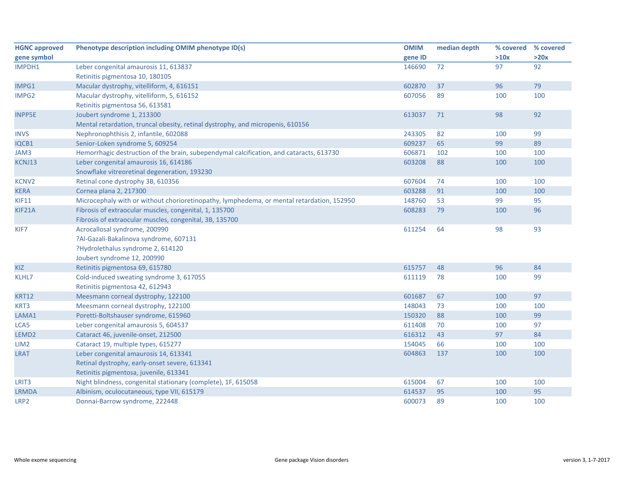| <b>HGNC approved</b> | Phenotype description including OMIM phenotype ID(s)                                      | <b>OMIM</b> | median depth | % covered | % covered |
|----------------------|-------------------------------------------------------------------------------------------|-------------|--------------|-----------|-----------|
| gene symbol          |                                                                                           | gene ID     |              | >10x      | >20x      |
| IMPDH1               | Leber congenital amaurosis 11, 613837                                                     | 146690      | 72           | 97        | 92        |
|                      | Retinitis pigmentosa 10, 180105                                                           |             |              |           |           |
| IMPG1                | Macular dystrophy, vitelliform, 4, 616151                                                 | 602870      | 37           | 96        | 79        |
| IMPG2                | Macular dystrophy, vitelliform, 5, 616152                                                 | 607056      | 89           | 100       | 100       |
|                      | Retinitis pigmentosa 56, 613581                                                           |             |              |           |           |
| <b>INPP5E</b>        | Joubert syndrome 1, 213300                                                                | 613037      | 71           | 98        | 92        |
|                      | Mental retardation, truncal obesity, retinal dystrophy, and micropenis, 610156            |             |              |           |           |
| <b>INVS</b>          | Nephronophthisis 2, infantile, 602088                                                     | 243305      | 82           | 100       | 99        |
| IQCB1                | Senior-Loken syndrome 5, 609254                                                           | 609237      | 65           | 99        | 89        |
| JAM3                 | Hemorrhagic destruction of the brain, subependymal calcification, and cataracts, 613730   | 606871      | 102          | 100       | 100       |
| KCNJ13               | Leber congenital amaurosis 16, 614186                                                     | 603208      | 88           | 100       | 100       |
|                      | Snowflake vitreoretinal degeneration, 193230                                              |             |              |           |           |
| <b>KCNV2</b>         | Retinal cone dystrophy 3B, 610356                                                         | 607604      | 74           | 100       | 100       |
| <b>KERA</b>          | Cornea plana 2, 217300                                                                    | 603288      | 91           | 100       | 100       |
| <b>KIF11</b>         | Microcephaly with or without chorioretinopathy, lymphedema, or mental retardation, 152950 | 148760      | 53           | 99        | 95        |
| KIF21A               | Fibrosis of extraocular muscles, congenital, 1, 135700                                    | 608283      | 79           | 100       | 96        |
|                      | Fibrosis of extraocular muscles, congenital, 3B, 135700                                   |             |              |           |           |
| KIF7                 | Acrocallosal syndrome, 200990                                                             | 611254      | 64           | 98        | 93        |
|                      | ?Al-Gazali-Bakalinova syndrome, 607131                                                    |             |              |           |           |
|                      | ?Hydrolethalus syndrome 2, 614120                                                         |             |              |           |           |
|                      | Joubert syndrome 12, 200990                                                               |             |              |           |           |
| <b>KIZ</b>           | Retinitis pigmentosa 69, 615780                                                           | 615757      | 48           | 96        | 84        |
| KLHL7                | Cold-induced sweating syndrome 3, 617055                                                  | 611119      | 78           | 100       | 99        |
|                      | Retinitis pigmentosa 42, 612943                                                           |             |              |           |           |
| <b>KRT12</b>         | Meesmann corneal dystrophy, 122100                                                        | 601687      | 67           | 100       | 97        |
| KRT3                 | Meesmann corneal dystrophy, 122100                                                        | 148043      | 73           | 100       | 100       |
| LAMA1                | Poretti-Boltshauser syndrome, 615960                                                      | 150320      | 88           | 100       | 99        |
| LCA5                 | Leber congenital amaurosis 5, 604537                                                      | 611408      | 70           | 100       | 97        |
| LEMD <sub>2</sub>    | Cataract 46, juvenile-onset, 212500                                                       | 616312      | 43           | 97        | 84        |
| LIM <sub>2</sub>     | Cataract 19, multiple types, 615277                                                       | 154045      | 66           | 100       | 100       |
| <b>LRAT</b>          | Leber congenital amaurosis 14, 613341                                                     | 604863      | 137          | 100       | 100       |
|                      | Retinal dystrophy, early-onset severe, 613341                                             |             |              |           |           |
|                      | Retinitis pigmentosa, juvenile, 613341                                                    |             |              |           |           |
| LRIT <sub>3</sub>    | Night blindness, congenital stationary (complete), 1F, 615058                             | 615004      | 67           | 100       | 100       |
| <b>LRMDA</b>         | Albinism, oculocutaneous, type VII, 615179                                                | 614537      | 95           | 100       | 95        |
| LRP2                 | Donnai-Barrow syndrome, 222448                                                            | 600073      | 89           | 100       | 100       |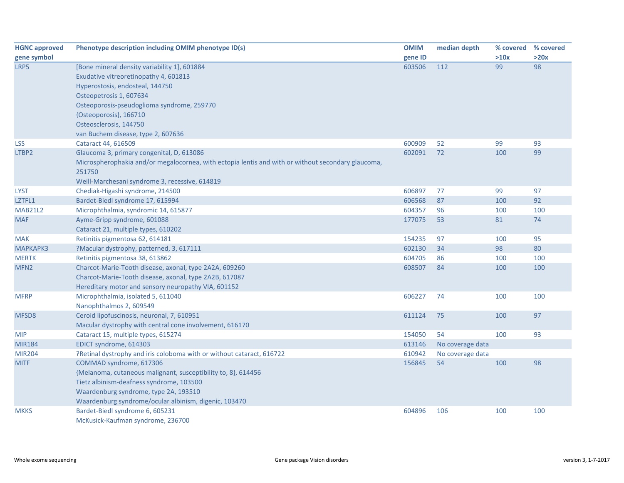| <b>HGNC approved</b> | Phenotype description including OMIM phenotype ID(s)                                               | <b>OMIM</b> | median depth     | % covered | % covered |
|----------------------|----------------------------------------------------------------------------------------------------|-------------|------------------|-----------|-----------|
| gene symbol          |                                                                                                    | gene ID     |                  | >10x      | >20x      |
| LRP5                 | [Bone mineral density variability 1], 601884                                                       | 603506      | 112              | 99        | 98        |
|                      | Exudative vitreoretinopathy 4, 601813                                                              |             |                  |           |           |
|                      | Hyperostosis, endosteal, 144750                                                                    |             |                  |           |           |
|                      | Osteopetrosis 1, 607634                                                                            |             |                  |           |           |
|                      | Osteoporosis-pseudoglioma syndrome, 259770                                                         |             |                  |           |           |
|                      | {Osteoporosis}, 166710                                                                             |             |                  |           |           |
|                      | Osteosclerosis, 144750                                                                             |             |                  |           |           |
|                      | van Buchem disease, type 2, 607636                                                                 |             |                  |           |           |
| <b>LSS</b>           | Cataract 44, 616509                                                                                | 600909      | 52               | 99        | 93        |
| LTBP2                | Glaucoma 3, primary congenital, D, 613086                                                          | 602091      | 72               | 100       | 99        |
|                      | Microspherophakia and/or megalocornea, with ectopia lentis and with or without secondary glaucoma, |             |                  |           |           |
|                      | 251750                                                                                             |             |                  |           |           |
|                      | Weill-Marchesani syndrome 3, recessive, 614819                                                     |             |                  |           |           |
| <b>LYST</b>          | Chediak-Higashi syndrome, 214500                                                                   | 606897      | 77               | 99        | 97        |
| LZTFL1               | Bardet-Biedl syndrome 17, 615994                                                                   | 606568      | 87               | 100       | 92        |
| <b>MAB21L2</b>       | Microphthalmia, syndromic 14, 615877                                                               | 604357      | 96               | 100       | 100       |
| <b>MAF</b>           | Ayme-Gripp syndrome, 601088                                                                        | 177075      | 53               | 81        | 74        |
|                      | Cataract 21, multiple types, 610202                                                                |             |                  |           |           |
| <b>MAK</b>           | Retinitis pigmentosa 62, 614181                                                                    | 154235      | 97               | 100       | 95        |
| MAPKAPK3             | ?Macular dystrophy, patterned, 3, 617111                                                           | 602130      | 34               | 98        | 80        |
| <b>MERTK</b>         | Retinitis pigmentosa 38, 613862                                                                    | 604705      | 86               | 100       | 100       |
| MFN <sub>2</sub>     | Charcot-Marie-Tooth disease, axonal, type 2A2A, 609260                                             | 608507      | 84               | 100       | 100       |
|                      | Charcot-Marie-Tooth disease, axonal, type 2A2B, 617087                                             |             |                  |           |           |
|                      | Hereditary motor and sensory neuropathy VIA, 601152                                                |             |                  |           |           |
| <b>MFRP</b>          | Microphthalmia, isolated 5, 611040                                                                 | 606227      | 74               | 100       | 100       |
|                      | Nanophthalmos 2, 609549                                                                            |             |                  |           |           |
| MFSD8                | Ceroid lipofuscinosis, neuronal, 7, 610951                                                         | 611124      | 75               | 100       | 97        |
|                      | Macular dystrophy with central cone involvement, 616170                                            |             |                  |           |           |
| <b>MIP</b>           | Cataract 15, multiple types, 615274                                                                | 154050      | 54               | 100       | 93        |
| <b>MIR184</b>        | EDICT syndrome, 614303                                                                             | 613146      | No coverage data |           |           |
| <b>MIR204</b>        | ?Retinal dystrophy and iris coloboma with or without cataract, 616722                              | 610942      | No coverage data |           |           |
| <b>MITF</b>          | COMMAD syndrome, 617306                                                                            | 156845      | 54               | 100       | 98        |
|                      | {Melanoma, cutaneous malignant, susceptibility to, 8}, 614456                                      |             |                  |           |           |
|                      | Tietz albinism-deafness syndrome, 103500                                                           |             |                  |           |           |
|                      | Waardenburg syndrome, type 2A, 193510                                                              |             |                  |           |           |
|                      | Waardenburg syndrome/ocular albinism, digenic, 103470                                              |             |                  |           |           |
| <b>MKKS</b>          | Bardet-Biedl syndrome 6, 605231                                                                    | 604896      | 106              | 100       | 100       |
|                      | McKusick-Kaufman syndrome, 236700                                                                  |             |                  |           |           |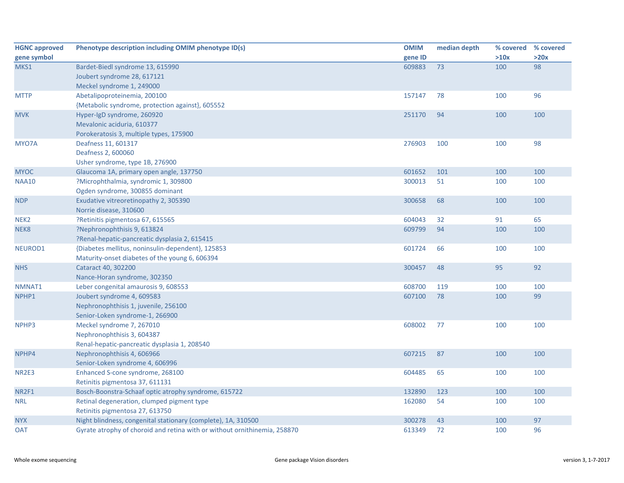| <b>HGNC approved</b> | Phenotype description including OMIM phenotype ID(s)                      | <b>OMIM</b> | median depth | % covered % covered |      |
|----------------------|---------------------------------------------------------------------------|-------------|--------------|---------------------|------|
| gene symbol          |                                                                           | gene ID     |              | >10x                | >20x |
| MKS1                 | Bardet-Biedl syndrome 13, 615990                                          | 609883      | 73           | 100                 | 98   |
|                      | Joubert syndrome 28, 617121                                               |             |              |                     |      |
|                      | Meckel syndrome 1, 249000                                                 |             |              |                     |      |
| <b>MTTP</b>          | Abetalipoproteinemia, 200100                                              | 157147      | 78           | 100                 | 96   |
|                      | {Metabolic syndrome, protection against}, 605552                          |             |              |                     |      |
| <b>MVK</b>           | Hyper-IgD syndrome, 260920                                                | 251170      | 94           | 100                 | 100  |
|                      | Mevalonic aciduria, 610377                                                |             |              |                     |      |
|                      | Porokeratosis 3, multiple types, 175900                                   |             |              |                     |      |
| MYO7A                | Deafness 11, 601317                                                       | 276903      | 100          | 100                 | 98   |
|                      | Deafness 2, 600060                                                        |             |              |                     |      |
|                      | Usher syndrome, type 1B, 276900                                           |             |              |                     |      |
| <b>MYOC</b>          | Glaucoma 1A, primary open angle, 137750                                   | 601652      | 101          | 100                 | 100  |
| <b>NAA10</b>         | ?Microphthalmia, syndromic 1, 309800                                      | 300013      | 51           | 100                 | 100  |
|                      | Ogden syndrome, 300855 dominant                                           |             |              |                     |      |
| <b>NDP</b>           | Exudative vitreoretinopathy 2, 305390                                     | 300658      | 68           | 100                 | 100  |
|                      | Norrie disease, 310600                                                    |             |              |                     |      |
| NEK <sub>2</sub>     | ?Retinitis pigmentosa 67, 615565                                          | 604043      | 32           | 91                  | 65   |
| NEK8                 | ?Nephronophthisis 9, 613824                                               | 609799      | 94           | 100                 | 100  |
|                      | ?Renal-hepatic-pancreatic dysplasia 2, 615415                             |             |              |                     |      |
| NEUROD1              | {Diabetes mellitus, noninsulin-dependent}, 125853                         | 601724      | 66           | 100                 | 100  |
|                      | Maturity-onset diabetes of the young 6, 606394                            |             |              |                     |      |
| <b>NHS</b>           | Cataract 40, 302200                                                       | 300457      | 48           | 95                  | 92   |
|                      | Nance-Horan syndrome, 302350                                              |             |              |                     |      |
| NMNAT1               | Leber congenital amaurosis 9, 608553                                      | 608700      | 119          | 100                 | 100  |
| NPHP1                | Joubert syndrome 4, 609583                                                | 607100      | 78           | 100                 | 99   |
|                      | Nephronophthisis 1, juvenile, 256100                                      |             |              |                     |      |
|                      | Senior-Loken syndrome-1, 266900                                           |             |              |                     |      |
| NPHP3                | Meckel syndrome 7, 267010                                                 | 608002      | 77           | 100                 | 100  |
|                      | Nephronophthisis 3, 604387                                                |             |              |                     |      |
|                      | Renal-hepatic-pancreatic dysplasia 1, 208540                              |             |              |                     |      |
| NPHP4                | Nephronophthisis 4, 606966                                                | 607215      | 87           | 100                 | 100  |
|                      | Senior-Loken syndrome 4, 606996                                           |             |              |                     |      |
| NR2E3                | Enhanced S-cone syndrome, 268100                                          | 604485      | 65           | 100                 | 100  |
|                      | Retinitis pigmentosa 37, 611131                                           |             |              |                     |      |
| NR2F1                | Bosch-Boonstra-Schaaf optic atrophy syndrome, 615722                      | 132890      | 123          | 100                 | 100  |
| <b>NRL</b>           | Retinal degeneration, clumped pigment type                                | 162080      | 54           | 100                 | 100  |
|                      | Retinitis pigmentosa 27, 613750                                           |             |              |                     |      |
| <b>NYX</b>           | Night blindness, congenital stationary (complete), 1A, 310500             | 300278      | 43           | 100                 | 97   |
| <b>OAT</b>           | Gyrate atrophy of choroid and retina with or without ornithinemia, 258870 | 613349      | 72           | 100                 | 96   |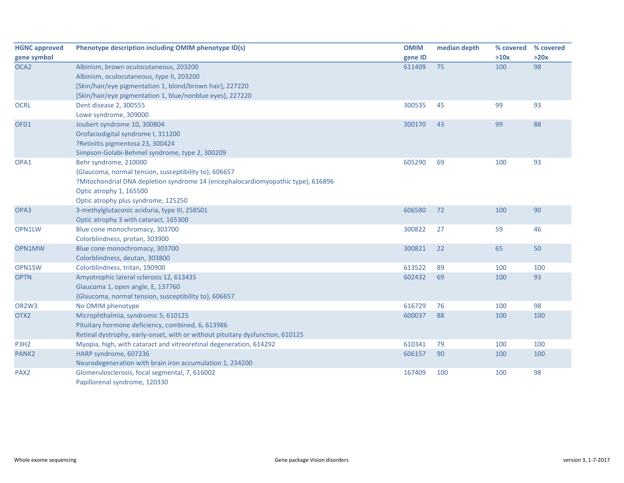| <b>HGNC approved</b>           | Phenotype description including OMIM phenotype ID(s)                             | <b>OMIM</b> | median depth | % covered | % covered |
|--------------------------------|----------------------------------------------------------------------------------|-------------|--------------|-----------|-----------|
| gene symbol                    |                                                                                  | gene ID     |              | >10x      | >20x      |
| OCA <sub>2</sub>               | Albinism, brown oculocutaneous, 203200                                           | 611409      | 75           | 100       | 98        |
|                                | Albinism, oculocutaneous, type II, 203200                                        |             |              |           |           |
|                                | [Skin/hair/eye pigmentation 1, blond/brown hair], 227220                         |             |              |           |           |
|                                | [Skin/hair/eye pigmentation 1, blue/nonblue eyes], 227220                        |             |              |           |           |
| <b>OCRL</b>                    | Dent disease 2, 300555                                                           | 300535      | 45           | 99        | 93        |
|                                | Lowe syndrome, 309000                                                            |             |              |           |           |
| OFD1                           | Joubert syndrome 10, 300804                                                      | 300170      | 43           | 99        | 88        |
|                                | Orofaciodigital syndrome I, 311200                                               |             |              |           |           |
|                                | ?Retinitis pigmentosa 23, 300424                                                 |             |              |           |           |
|                                | Simpson-Golabi-Behmel syndrome, type 2, 300209                                   |             |              |           |           |
| OPA1                           | Behr syndrome, 210000                                                            | 605290      | 69           | 100       | 93        |
|                                | {Glaucoma, normal tension, susceptibility to}, 606657                            |             |              |           |           |
|                                | ?Mitochondrial DNA depletion syndrome 14 (encephalocardiomyopathic type), 616896 |             |              |           |           |
|                                | Optic atrophy 1, 165500                                                          |             |              |           |           |
|                                | Optic atrophy plus syndrome, 125250                                              |             |              |           |           |
| OPA3                           | 3-methylglutaconic aciduria, type III, 258501                                    | 606580      | 72           | 100       | 90        |
|                                | Optic atrophy 3 with cataract, 165300                                            |             |              |           |           |
| OPN1LW                         | Blue cone monochromacy, 303700                                                   | 300822      | 27           | 59        | 46        |
|                                | Colorblindness, protan, 303900                                                   |             |              |           |           |
| OPN1MW                         | Blue cone monochromacy, 303700                                                   | 300821      | 22           | 65        | 50        |
|                                | Colorblindness, deutan, 303800                                                   |             |              |           |           |
| OPN1SW                         | Colorblindness, tritan, 190900                                                   | 613522      | 89           | 100       | 100       |
| <b>OPTN</b>                    | Amyotrophic lateral sclerosis 12, 613435                                         | 602432      | 69           | 100       | 93        |
|                                | Glaucoma 1, open angle, E, 137760                                                |             |              |           |           |
|                                | {Glaucoma, normal tension, susceptibility to}, 606657                            |             |              |           |           |
| OR <sub>2</sub> W <sub>3</sub> | No OMIM phenotype                                                                | 616729      | 76           | 100       | 98        |
| OTX2                           | Microphthalmia, syndromic 5, 610125                                              | 600037      | 88           | 100       | 100       |
|                                | Pituitary hormone deficiency, combined, 6, 613986                                |             |              |           |           |
|                                | Retinal dystrophy, early-onset, with or without pituitary dysfunction, 610125    |             |              |           |           |
| P3H <sub>2</sub>               | Myopia, high, with cataract and vitreoretinal degeneration, 614292               | 610341      | 79           | 100       | 100       |
| PANK <sub>2</sub>              | HARP syndrome, 607236                                                            | 606157      | 90           | 100       | 100       |
|                                | Neurodegeneration with brain iron accumulation 1, 234200                         |             |              |           |           |
| PAX <sub>2</sub>               | Glomerulosclerosis, focal segmental, 7, 616002                                   | 167409      | 100          | 100       | 98        |
|                                | Papillorenal syndrome, 120330                                                    |             |              |           |           |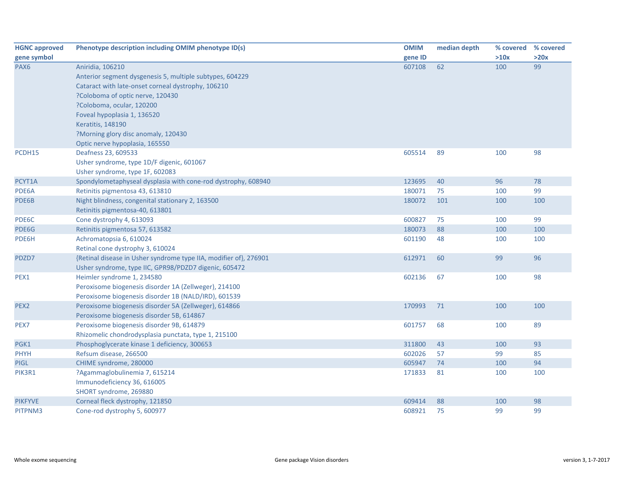| <b>HGNC approved</b> | Phenotype description including OMIM phenotype ID(s)              | <b>OMIM</b> | median depth |      | % covered % covered |
|----------------------|-------------------------------------------------------------------|-------------|--------------|------|---------------------|
| gene symbol          |                                                                   | gene ID     |              | >10x | >20x                |
| PAX <sub>6</sub>     | Aniridia, 106210                                                  | 607108      | 62           | 100  | 99                  |
|                      | Anterior segment dysgenesis 5, multiple subtypes, 604229          |             |              |      |                     |
|                      | Cataract with late-onset corneal dystrophy, 106210                |             |              |      |                     |
|                      | ?Coloboma of optic nerve, 120430                                  |             |              |      |                     |
|                      | ?Coloboma, ocular, 120200                                         |             |              |      |                     |
|                      | Foveal hypoplasia 1, 136520                                       |             |              |      |                     |
|                      | Keratitis, 148190                                                 |             |              |      |                     |
|                      | ?Morning glory disc anomaly, 120430                               |             |              |      |                     |
|                      | Optic nerve hypoplasia, 165550                                    |             |              |      |                     |
| PCDH15               | Deafness 23, 609533                                               | 605514      | 89           | 100  | 98                  |
|                      | Usher syndrome, type 1D/F digenic, 601067                         |             |              |      |                     |
|                      | Usher syndrome, type 1F, 602083                                   |             |              |      |                     |
| PCYT1A               | Spondylometaphyseal dysplasia with cone-rod dystrophy, 608940     | 123695      | 40           | 96   | 78                  |
| PDE6A                | Retinitis pigmentosa 43, 613810                                   | 180071      | 75           | 100  | 99                  |
| PDE6B                | Night blindness, congenital stationary 2, 163500                  | 180072      | 101          | 100  | 100                 |
|                      | Retinitis pigmentosa-40, 613801                                   |             |              |      |                     |
| PDE6C                | Cone dystrophy 4, 613093                                          | 600827      | 75           | 100  | 99                  |
| PDE6G                | Retinitis pigmentosa 57, 613582                                   | 180073      | 88           | 100  | 100                 |
| PDE6H                | Achromatopsia 6, 610024                                           | 601190      | 48           | 100  | 100                 |
|                      | Retinal cone dystrophy 3, 610024                                  |             |              |      |                     |
| PDZD7                | {Retinal disease in Usher syndrome type IIA, modifier of}, 276901 | 612971      | 60           | 99   | 96                  |
|                      | Usher syndrome, type IIC, GPR98/PDZD7 digenic, 605472             |             |              |      |                     |
| PEX1                 | Heimler syndrome 1, 234580                                        | 602136      | 67           | 100  | 98                  |
|                      | Peroxisome biogenesis disorder 1A (Zellweger), 214100             |             |              |      |                     |
|                      | Peroxisome biogenesis disorder 1B (NALD/IRD), 601539              |             |              |      |                     |
| PEX2                 | Peroxisome biogenesis disorder 5A (Zellweger), 614866             | 170993      | 71           | 100  | 100                 |
|                      | Peroxisome biogenesis disorder 5B, 614867                         |             |              |      |                     |
| PEX7                 | Peroxisome biogenesis disorder 9B, 614879                         | 601757      | 68           | 100  | 89                  |
|                      | Rhizomelic chondrodysplasia punctata, type 1, 215100              |             |              |      |                     |
| PGK1                 | Phosphoglycerate kinase 1 deficiency, 300653                      | 311800      | 43           | 100  | 93                  |
| PHYH                 | Refsum disease, 266500                                            | 602026      | 57           | 99   | 85                  |
| <b>PIGL</b>          | CHIME syndrome, 280000                                            | 605947      | 74           | 100  | 94                  |
| PIK3R1               | ?Agammaglobulinemia 7, 615214                                     | 171833      | 81           | 100  | 100                 |
|                      | Immunodeficiency 36, 616005                                       |             |              |      |                     |
|                      | SHORT syndrome, 269880                                            |             |              |      |                     |
| <b>PIKFYVE</b>       | Corneal fleck dystrophy, 121850                                   | 609414      | 88           | 100  | 98                  |
| PITPNM3              | Cone-rod dystrophy 5, 600977                                      | 608921      | 75           | 99   | 99                  |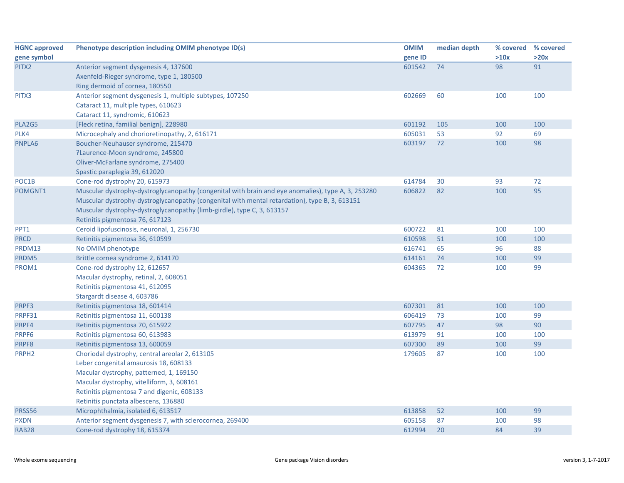| <b>HGNC approved</b> | Phenotype description including OMIM phenotype ID(s)                                               | <b>OMIM</b> | median depth | % covered | % covered |
|----------------------|----------------------------------------------------------------------------------------------------|-------------|--------------|-----------|-----------|
| gene symbol          |                                                                                                    | gene ID     |              | >10x      | >20x      |
| PITX2                | Anterior segment dysgenesis 4, 137600                                                              | 601542      | 74           | 98        | 91        |
|                      | Axenfeld-Rieger syndrome, type 1, 180500                                                           |             |              |           |           |
|                      | Ring dermoid of cornea, 180550                                                                     |             |              |           |           |
| PITX3                | Anterior segment dysgenesis 1, multiple subtypes, 107250                                           | 602669      | 60           | 100       | 100       |
|                      | Cataract 11, multiple types, 610623                                                                |             |              |           |           |
|                      | Cataract 11, syndromic, 610623                                                                     |             |              |           |           |
| PLA2G5               | [Fleck retina, familial benign], 228980                                                            | 601192      | 105          | 100       | 100       |
| PLK4                 | Microcephaly and chorioretinopathy, 2, 616171                                                      | 605031      | 53           | 92        | 69        |
| PNPLA6               | Boucher-Neuhauser syndrome, 215470                                                                 | 603197      | 72           | 100       | 98        |
|                      | ?Laurence-Moon syndrome, 245800                                                                    |             |              |           |           |
|                      | Oliver-McFarlane syndrome, 275400                                                                  |             |              |           |           |
|                      | Spastic paraplegia 39, 612020                                                                      |             |              |           |           |
| POC1B                | Cone-rod dystrophy 20, 615973                                                                      | 614784      | 30           | 93        | 72        |
| POMGNT1              | Muscular dystrophy-dystroglycanopathy (congenital with brain and eye anomalies), type A, 3, 253280 | 606822      | 82           | 100       | 95        |
|                      | Muscular dystrophy-dystroglycanopathy (congenital with mental retardation), type B, 3, 613151      |             |              |           |           |
|                      | Muscular dystrophy-dystroglycanopathy (limb-girdle), type C, 3, 613157                             |             |              |           |           |
|                      | Retinitis pigmentosa 76, 617123                                                                    |             |              |           |           |
| PPT1                 | Ceroid lipofuscinosis, neuronal, 1, 256730                                                         | 600722      | 81           | 100       | 100       |
| <b>PRCD</b>          | Retinitis pigmentosa 36, 610599                                                                    | 610598      | 51           | 100       | 100       |
| PRDM13               | No OMIM phenotype                                                                                  | 616741      | 65           | 96        | 88        |
| PRDM5                | Brittle cornea syndrome 2, 614170                                                                  | 614161      | 74           | 100       | 99        |
| PROM1                | Cone-rod dystrophy 12, 612657                                                                      | 604365      | 72           | 100       | 99        |
|                      | Macular dystrophy, retinal, 2, 608051                                                              |             |              |           |           |
|                      | Retinitis pigmentosa 41, 612095                                                                    |             |              |           |           |
|                      | Stargardt disease 4, 603786                                                                        |             |              |           |           |
| PRPF3                | Retinitis pigmentosa 18, 601414                                                                    | 607301      | 81           | 100       | 100       |
| PRPF31               | Retinitis pigmentosa 11, 600138                                                                    | 606419      | 73           | 100       | 99        |
| PRPF4                | Retinitis pigmentosa 70, 615922                                                                    | 607795      | 47           | 98        | 90        |
| PRPF6                | Retinitis pigmentosa 60, 613983                                                                    | 613979      | 91           | 100       | 100       |
| PRPF8                | Retinitis pigmentosa 13, 600059                                                                    | 607300      | 89           | 100       | 99        |
| PRPH <sub>2</sub>    | Choriodal dystrophy, central areolar 2, 613105                                                     | 179605      | 87           | 100       | 100       |
|                      | Leber congenital amaurosis 18, 608133                                                              |             |              |           |           |
|                      | Macular dystrophy, patterned, 1, 169150                                                            |             |              |           |           |
|                      | Macular dystrophy, vitelliform, 3, 608161                                                          |             |              |           |           |
|                      | Retinitis pigmentosa 7 and digenic, 608133                                                         |             |              |           |           |
|                      | Retinitis punctata albescens, 136880                                                               |             |              |           |           |
| PRSS56               | Microphthalmia, isolated 6, 613517                                                                 | 613858      | 52           | 100       | 99        |
| <b>PXDN</b>          | Anterior segment dysgenesis 7, with sclerocornea, 269400                                           | 605158      | 87           | 100       | 98        |
| <b>RAB28</b>         | Cone-rod dystrophy 18, 615374                                                                      | 612994      | 20           | 84        | 39        |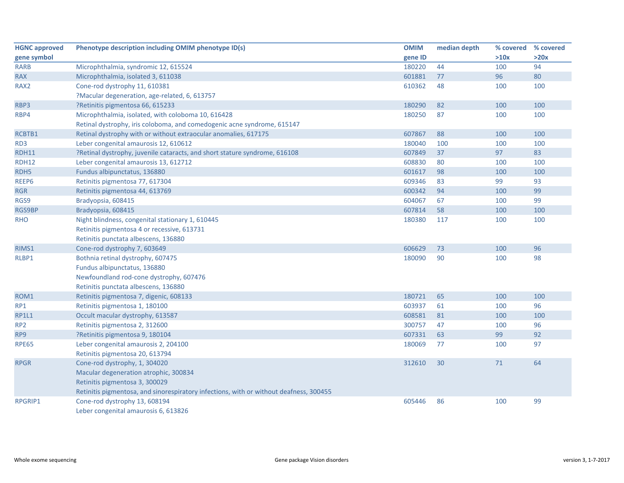| <b>HGNC approved</b> | Phenotype description including OMIM phenotype ID(s)                                   | <b>OMIM</b> | median depth | % covered | % covered |
|----------------------|----------------------------------------------------------------------------------------|-------------|--------------|-----------|-----------|
| gene symbol          |                                                                                        | gene ID     |              | >10x      | >20x      |
| <b>RARB</b>          | Microphthalmia, syndromic 12, 615524                                                   | 180220      | 44           | 100       | 94        |
| <b>RAX</b>           | Microphthalmia, isolated 3, 611038                                                     | 601881      | 77           | 96        | 80        |
| RAX2                 | Cone-rod dystrophy 11, 610381                                                          | 610362      | 48           | 100       | 100       |
|                      | ?Macular degeneration, age-related, 6, 613757                                          |             |              |           |           |
| RBP3                 | ?Retinitis pigmentosa 66, 615233                                                       | 180290      | 82           | 100       | 100       |
| RBP4                 | Microphthalmia, isolated, with coloboma 10, 616428                                     | 180250      | 87           | 100       | 100       |
|                      | Retinal dystrophy, iris coloboma, and comedogenic acne syndrome, 615147                |             |              |           |           |
| RCBTB1               | Retinal dystrophy with or without extraocular anomalies, 617175                        | 607867      | 88           | 100       | 100       |
| RD3                  | Leber congenital amaurosis 12, 610612                                                  | 180040      | 100          | 100       | 100       |
| <b>RDH11</b>         | ?Retinal dystrophy, juvenile cataracts, and short stature syndrome, 616108             | 607849      | 37           | 97        | 83        |
| <b>RDH12</b>         | Leber congenital amaurosis 13, 612712                                                  | 608830      | 80           | 100       | 100       |
| RDH <sub>5</sub>     | Fundus albipunctatus, 136880                                                           | 601617      | 98           | 100       | 100       |
| REEP6                | Retinitis pigmentosa 77, 617304                                                        | 609346      | 83           | 99        | 93        |
| <b>RGR</b>           | Retinitis pigmentosa 44, 613769                                                        | 600342      | 94           | 100       | 99        |
| RGS9                 | Bradyopsia, 608415                                                                     | 604067      | 67           | 100       | 99        |
| RGS9BP               | Bradyopsia, 608415                                                                     | 607814      | 58           | 100       | 100       |
| <b>RHO</b>           | Night blindness, congenital stationary 1, 610445                                       | 180380      | 117          | 100       | 100       |
|                      | Retinitis pigmentosa 4 or recessive, 613731                                            |             |              |           |           |
|                      | Retinitis punctata albescens, 136880                                                   |             |              |           |           |
| RIMS1                | Cone-rod dystrophy 7, 603649                                                           | 606629      | 73           | 100       | 96        |
| RLBP1                | Bothnia retinal dystrophy, 607475                                                      | 180090      | 90           | 100       | 98        |
|                      | Fundus albipunctatus, 136880                                                           |             |              |           |           |
|                      | Newfoundland rod-cone dystrophy, 607476                                                |             |              |           |           |
|                      | Retinitis punctata albescens, 136880                                                   |             |              |           |           |
| ROM <sub>1</sub>     | Retinitis pigmentosa 7, digenic, 608133                                                | 180721      | 65           | 100       | 100       |
| RP1                  | Retinitis pigmentosa 1, 180100                                                         | 603937      | 61           | 100       | 96        |
| <b>RP1L1</b>         | Occult macular dystrophy, 613587                                                       | 608581      | 81           | 100       | 100       |
| RP <sub>2</sub>      | Retinitis pigmentosa 2, 312600                                                         | 300757      | 47           | 100       | 96        |
| RP9                  | ?Retinitis pigmentosa 9, 180104                                                        | 607331      | 63           | 99        | 92        |
| <b>RPE65</b>         | Leber congenital amaurosis 2, 204100                                                   | 180069      | 77           | 100       | 97        |
|                      | Retinitis pigmentosa 20, 613794                                                        |             |              |           |           |
| <b>RPGR</b>          | Cone-rod dystrophy, 1, 304020                                                          | 312610      | 30           | 71        | 64        |
|                      | Macular degeneration atrophic, 300834                                                  |             |              |           |           |
|                      | Retinitis pigmentosa 3, 300029                                                         |             |              |           |           |
|                      | Retinitis pigmentosa, and sinorespiratory infections, with or without deafness, 300455 |             |              |           |           |
| <b>RPGRIP1</b>       | Cone-rod dystrophy 13, 608194                                                          | 605446      | 86           | 100       | 99        |
|                      | Leber congenital amaurosis 6, 613826                                                   |             |              |           |           |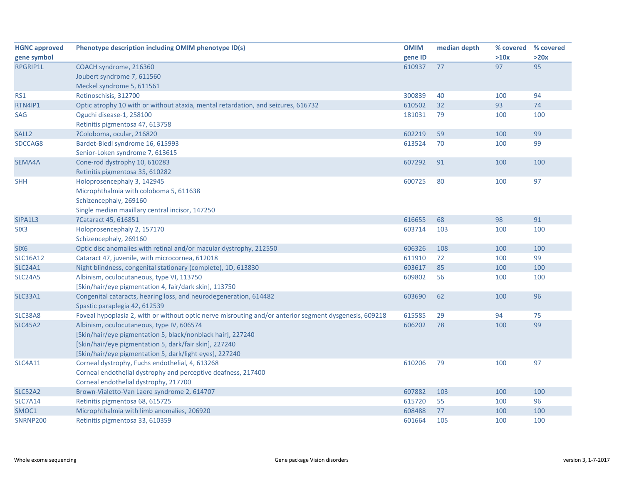| <b>HGNC approved</b> | Phenotype description including OMIM phenotype ID(s)                                                   | <b>OMIM</b> | median depth | % covered % covered |      |
|----------------------|--------------------------------------------------------------------------------------------------------|-------------|--------------|---------------------|------|
| gene symbol          |                                                                                                        | gene ID     |              | >10x                | >20x |
| RPGRIP1L             | COACH syndrome, 216360                                                                                 | 610937      | 77           | 97                  | 95   |
|                      | Joubert syndrome 7, 611560                                                                             |             |              |                     |      |
|                      | Meckel syndrome 5, 611561                                                                              |             |              |                     |      |
| RS1                  | Retinoschisis, 312700                                                                                  | 300839      | 40           | 100                 | 94   |
| RTN4IP1              | Optic atrophy 10 with or without ataxia, mental retardation, and seizures, 616732                      | 610502      | 32           | 93                  | 74   |
| <b>SAG</b>           | Oguchi disease-1, 258100                                                                               | 181031      | 79           | 100                 | 100  |
|                      | Retinitis pigmentosa 47, 613758                                                                        |             |              |                     |      |
| SALL <sub>2</sub>    | ?Coloboma, ocular, 216820                                                                              | 602219      | 59           | 100                 | 99   |
| SDCCAG8              | Bardet-Biedl syndrome 16, 615993                                                                       | 613524      | 70           | 100                 | 99   |
|                      | Senior-Loken syndrome 7, 613615                                                                        |             |              |                     |      |
| SEMA4A               | Cone-rod dystrophy 10, 610283                                                                          | 607292      | 91           | 100                 | 100  |
|                      | Retinitis pigmentosa 35, 610282                                                                        |             |              |                     |      |
| <b>SHH</b>           | Holoprosencephaly 3, 142945                                                                            | 600725      | 80           | 100                 | 97   |
|                      | Microphthalmia with coloboma 5, 611638                                                                 |             |              |                     |      |
|                      | Schizencephaly, 269160                                                                                 |             |              |                     |      |
|                      | Single median maxillary central incisor, 147250                                                        |             |              |                     |      |
| SIPA1L3              | ?Cataract 45, 616851                                                                                   | 616655      | 68           | 98                  | 91   |
| SIX <sub>3</sub>     | Holoprosencephaly 2, 157170                                                                            | 603714      | 103          | 100                 | 100  |
|                      | Schizencephaly, 269160                                                                                 |             |              |                     |      |
| SIX <sub>6</sub>     | Optic disc anomalies with retinal and/or macular dystrophy, 212550                                     | 606326      | 108          | 100                 | 100  |
| <b>SLC16A12</b>      | Cataract 47, juvenile, with microcornea, 612018                                                        | 611910      | 72           | 100                 | 99   |
| <b>SLC24A1</b>       | Night blindness, congenital stationary (complete), 1D, 613830                                          | 603617      | 85           | 100                 | 100  |
| <b>SLC24A5</b>       | Albinism, oculocutaneous, type VI, 113750                                                              | 609802      | 56           | 100                 | 100  |
|                      | [Skin/hair/eye pigmentation 4, fair/dark skin], 113750                                                 |             |              |                     |      |
| <b>SLC33A1</b>       | Congenital cataracts, hearing loss, and neurodegeneration, 614482                                      | 603690      | 62           | 100                 | 96   |
|                      | Spastic paraplegia 42, 612539                                                                          |             |              |                     |      |
| <b>SLC38A8</b>       | Foveal hypoplasia 2, with or without optic nerve misrouting and/or anterior segment dysgenesis, 609218 | 615585      | 29           | 94                  | 75   |
| <b>SLC45A2</b>       | Albinism, oculocutaneous, type IV, 606574                                                              | 606202      | 78           | 100                 | 99   |
|                      | [Skin/hair/eye pigmentation 5, black/nonblack hair], 227240                                            |             |              |                     |      |
|                      | [Skin/hair/eye pigmentation 5, dark/fair skin], 227240                                                 |             |              |                     |      |
|                      | [Skin/hair/eye pigmentation 5, dark/light eyes], 227240                                                |             |              |                     |      |
| <b>SLC4A11</b>       | Corneal dystrophy, Fuchs endothelial, 4, 613268                                                        | 610206      | 79           | 100                 | 97   |
|                      | Corneal endothelial dystrophy and perceptive deafness, 217400                                          |             |              |                     |      |
|                      | Corneal endothelial dystrophy, 217700                                                                  |             |              |                     |      |
| <b>SLC52A2</b>       | Brown-Vialetto-Van Laere syndrome 2, 614707                                                            | 607882      | 103          | 100                 | 100  |
| <b>SLC7A14</b>       | Retinitis pigmentosa 68, 615725                                                                        | 615720      | 55           | 100                 | 96   |
| SMOC1                | Microphthalmia with limb anomalies, 206920                                                             | 608488      | 77           | 100                 | 100  |
| <b>SNRNP200</b>      | Retinitis pigmentosa 33, 610359                                                                        | 601664      | 105          | 100                 | 100  |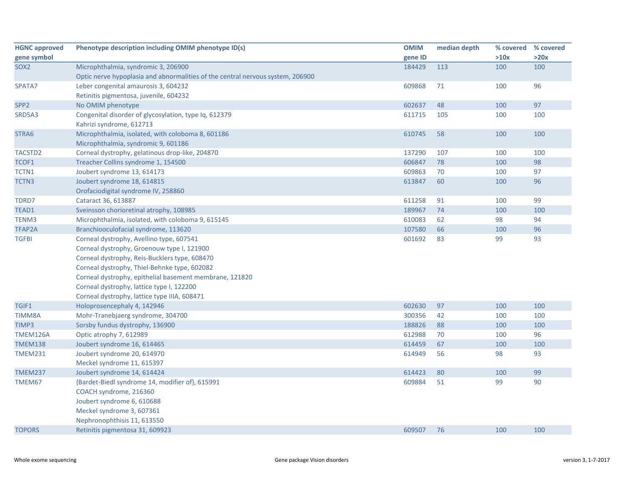| <b>HGNC approved</b> | Phenotype description including OMIM phenotype ID(s)                           | <b>OMIM</b> | median depth | % covered | % covered |
|----------------------|--------------------------------------------------------------------------------|-------------|--------------|-----------|-----------|
| gene symbol          |                                                                                | gene ID     |              | >10x      | >20x      |
| SOX <sub>2</sub>     | Microphthalmia, syndromic 3, 206900                                            | 184429      | 113          | 100       | 100       |
|                      | Optic nerve hypoplasia and abnormalities of the central nervous system, 206900 |             |              |           |           |
| SPATA7               | Leber congenital amaurosis 3, 604232                                           | 609868      | 71           | 100       | 96        |
|                      | Retinitis pigmentosa, juvenile, 604232                                         |             |              |           |           |
| SPP <sub>2</sub>     | No OMIM phenotype                                                              | 602637      | 48           | 100       | 97        |
| SRD5A3               | Congenital disorder of glycosylation, type Iq, 612379                          | 611715      | 105          | 100       | 100       |
|                      | Kahrizi syndrome, 612713                                                       |             |              |           |           |
| STRA6                | Microphthalmia, isolated, with coloboma 8, 601186                              | 610745      | 58           | 100       | 100       |
|                      | Microphthalmia, syndromic 9, 601186                                            |             |              |           |           |
| TACSTD <sub>2</sub>  | Corneal dystrophy, gelatinous drop-like, 204870                                | 137290      | 107          | 100       | 100       |
| TCOF1                | Treacher Collins syndrome 1, 154500                                            | 606847      | 78           | 100       | 98        |
| TCTN1                | Joubert syndrome 13, 614173                                                    | 609863      | 70           | 100       | 97        |
| <b>TCTN3</b>         | Joubert syndrome 18, 614815                                                    | 613847      | 60           | 100       | 96        |
|                      | Orofaciodigital syndrome IV, 258860                                            |             |              |           |           |
| TDRD7                | Cataract 36, 613887                                                            | 611258      | 91           | 100       | 99        |
| TEAD1                | Sveinsson chorioretinal atrophy, 108985                                        | 189967      | 74           | 100       | 100       |
| TENM3                | Microphthalmia, isolated, with coloboma 9, 615145                              | 610083      | 62           | 98        | 94        |
| TFAP2A               | Branchiooculofacial syndrome, 113620                                           | 107580      | 66           | 100       | 96        |
| <b>TGFBI</b>         | Corneal dystrophy, Avellino type, 607541                                       | 601692      | 83           | 99        | 93        |
|                      | Corneal dystrophy, Groenouw type I, 121900                                     |             |              |           |           |
|                      | Corneal dystrophy, Reis-Bucklers type, 608470                                  |             |              |           |           |
|                      | Corneal dystrophy, Thiel-Behnke type, 602082                                   |             |              |           |           |
|                      | Corneal dystrophy, epithelial basement membrane, 121820                        |             |              |           |           |
|                      | Corneal dystrophy, lattice type I, 122200                                      |             |              |           |           |
|                      | Corneal dystrophy, lattice type IIIA, 608471                                   |             |              |           |           |
| TGIF1                | Holoprosencephaly 4, 142946                                                    | 602630      | 97           | 100       | 100       |
| <b>TIMM8A</b>        | Mohr-Tranebjaerg syndrome, 304700                                              | 300356      | 42           | 100       | 100       |
| TIMP3                | Sorsby fundus dystrophy, 136900                                                | 188826      | 88           | 100       | 100       |
| TMEM126A             | Optic atrophy 7, 612989                                                        | 612988      | 70           | 100       | 96        |
| <b>TMEM138</b>       | Joubert syndrome 16, 614465                                                    | 614459      | 67           | 100       | 100       |
| <b>TMEM231</b>       | Joubert syndrome 20, 614970                                                    | 614949      | 56           | 98        | 93        |
|                      | Meckel syndrome 11, 615397                                                     |             |              |           |           |
| <b>TMEM237</b>       | Joubert syndrome 14, 614424                                                    | 614423      | 80           | 100       | 99        |
| TMEM67               | {Bardet-Biedl syndrome 14, modifier of}, 615991                                | 609884      | 51           | 99        | 90        |
|                      | COACH syndrome, 216360                                                         |             |              |           |           |
|                      | Joubert syndrome 6, 610688                                                     |             |              |           |           |
|                      | Meckel syndrome 3, 607361                                                      |             |              |           |           |
|                      | Nephronophthisis 11, 613550                                                    |             |              |           |           |
| <b>TOPORS</b>        | Retinitis pigmentosa 31, 609923                                                | 609507      | 76           | 100       | 100       |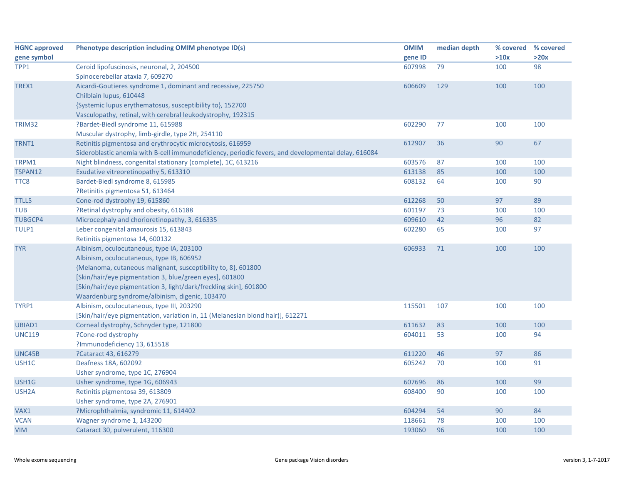| <b>HGNC approved</b> | Phenotype description including OMIM phenotype ID(s)                                                | <b>OMIM</b> | median depth | % covered % covered |      |
|----------------------|-----------------------------------------------------------------------------------------------------|-------------|--------------|---------------------|------|
| gene symbol          |                                                                                                     | gene ID     |              | >10x                | >20x |
| TPP1                 | Ceroid lipofuscinosis, neuronal, 2, 204500                                                          | 607998      | 79           | 100                 | 98   |
|                      | Spinocerebellar ataxia 7, 609270                                                                    |             |              |                     |      |
| TREX1                | Aicardi-Goutieres syndrome 1, dominant and recessive, 225750                                        | 606609      | 129          | 100                 | 100  |
|                      | Chilblain lupus, 610448                                                                             |             |              |                     |      |
|                      | {Systemic lupus erythematosus, susceptibility to}, 152700                                           |             |              |                     |      |
|                      | Vasculopathy, retinal, with cerebral leukodystrophy, 192315                                         |             |              |                     |      |
| TRIM32               | ?Bardet-Biedl syndrome 11, 615988                                                                   | 602290      | 77           | 100                 | 100  |
|                      | Muscular dystrophy, limb-girdle, type 2H, 254110                                                    |             |              |                     |      |
| TRNT1                | Retinitis pigmentosa and erythrocytic microcytosis, 616959                                          | 612907      | 36           | 90                  | 67   |
|                      | Sideroblastic anemia with B-cell immunodeficiency, periodic fevers, and developmental delay, 616084 |             |              |                     |      |
| TRPM1                | Night blindness, congenital stationary (complete), 1C, 613216                                       | 603576      | 87           | 100                 | 100  |
| TSPAN12              | Exudative vitreoretinopathy 5, 613310                                                               | 613138      | 85           | 100                 | 100  |
| TTC8                 | Bardet-Biedl syndrome 8, 615985                                                                     | 608132      | 64           | 100                 | 90   |
|                      | ?Retinitis pigmentosa 51, 613464                                                                    |             |              |                     |      |
| <b>TTLL5</b>         | Cone-rod dystrophy 19, 615860                                                                       | 612268      | 50           | 97                  | 89   |
| <b>TUB</b>           | ?Retinal dystrophy and obesity, 616188                                                              | 601197      | 73           | 100                 | 100  |
| <b>TUBGCP4</b>       | Microcephaly and chorioretinopathy, 3, 616335                                                       | 609610      | 42           | 96                  | 82   |
| TULP1                | Leber congenital amaurosis 15, 613843                                                               | 602280      | 65           | 100                 | 97   |
|                      | Retinitis pigmentosa 14, 600132                                                                     |             |              |                     |      |
| <b>TYR</b>           | Albinism, oculocutaneous, type IA, 203100                                                           | 606933      | 71           | 100                 | 100  |
|                      | Albinism, oculocutaneous, type IB, 606952                                                           |             |              |                     |      |
|                      | {Melanoma, cutaneous malignant, susceptibility to, 8}, 601800                                       |             |              |                     |      |
|                      | [Skin/hair/eye pigmentation 3, blue/green eyes], 601800                                             |             |              |                     |      |
|                      | [Skin/hair/eye pigmentation 3, light/dark/freckling skin], 601800                                   |             |              |                     |      |
|                      | Waardenburg syndrome/albinism, digenic, 103470                                                      |             |              |                     |      |
| TYRP1                | Albinism, oculocutaneous, type III, 203290                                                          | 115501      | 107          | 100                 | 100  |
|                      | [Skin/hair/eye pigmentation, variation in, 11 (Melanesian blond hair)], 612271                      |             |              |                     |      |
| UBIAD1               | Corneal dystrophy, Schnyder type, 121800                                                            | 611632      | 83           | 100                 | 100  |
| <b>UNC119</b>        | ?Cone-rod dystrophy                                                                                 | 604011      | 53           | 100                 | 94   |
|                      | ?Immunodeficiency 13, 615518                                                                        |             |              |                     |      |
| UNC45B               | ?Cataract 43, 616279                                                                                | 611220      | 46           | 97                  | 86   |
| USH1C                | Deafness 18A, 602092                                                                                | 605242      | 70           | 100                 | 91   |
|                      | Usher syndrome, type 1C, 276904                                                                     |             |              |                     |      |
| USH1G                | Usher syndrome, type 1G, 606943                                                                     | 607696      | 86           | 100                 | 99   |
| USH <sub>2</sub> A   | Retinitis pigmentosa 39, 613809                                                                     | 608400      | 90           | 100                 | 100  |
|                      | Usher syndrome, type 2A, 276901                                                                     |             |              |                     |      |
| VAX1                 | ?Microphthalmia, syndromic 11, 614402                                                               | 604294      | 54           | 90                  | 84   |
| <b>VCAN</b>          | Wagner syndrome 1, 143200                                                                           | 118661      | 78           | 100                 | 100  |
| <b>VIM</b>           | Cataract 30, pulverulent, 116300                                                                    | 193060      | 96           | 100                 | 100  |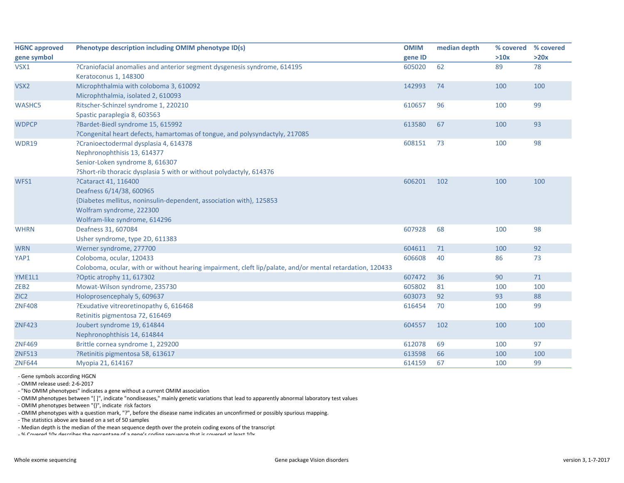| <b>HGNC approved</b> | Phenotype description including OMIM phenotype ID(s)                                                      | <b>OMIM</b> | median depth | % covered | % covered |
|----------------------|-----------------------------------------------------------------------------------------------------------|-------------|--------------|-----------|-----------|
| gene symbol          |                                                                                                           | gene ID     |              | >10x      | >20x      |
| VSX1                 | ?Craniofacial anomalies and anterior segment dysgenesis syndrome, 614195                                  | 605020      | 62           | 89        | 78        |
|                      | Keratoconus 1, 148300                                                                                     |             |              |           |           |
| VSX <sub>2</sub>     | Microphthalmia with coloboma 3, 610092                                                                    | 142993      | 74           | 100       | 100       |
|                      | Microphthalmia, isolated 2, 610093                                                                        |             |              |           |           |
| <b>WASHC5</b>        | Ritscher-Schinzel syndrome 1, 220210                                                                      | 610657      | 96           | 100       | 99        |
|                      | Spastic paraplegia 8, 603563                                                                              |             |              |           |           |
| <b>WDPCP</b>         | ?Bardet-Biedl syndrome 15, 615992                                                                         | 613580      | 67           | 100       | 93        |
|                      | ?Congenital heart defects, hamartomas of tongue, and polysyndactyly, 217085                               |             |              |           |           |
| WDR19                | ?Cranioectodermal dysplasia 4, 614378                                                                     | 608151      | 73           | 100       | 98        |
|                      | Nephronophthisis 13, 614377                                                                               |             |              |           |           |
|                      | Senior-Loken syndrome 8, 616307                                                                           |             |              |           |           |
|                      | ?Short-rib thoracic dysplasia 5 with or without polydactyly, 614376                                       |             |              |           |           |
| WFS1                 | ?Cataract 41, 116400                                                                                      | 606201      | 102          | 100       | 100       |
|                      | Deafness 6/14/38, 600965                                                                                  |             |              |           |           |
|                      | {Diabetes mellitus, noninsulin-dependent, association with}, 125853                                       |             |              |           |           |
|                      | Wolfram syndrome, 222300                                                                                  |             |              |           |           |
|                      | Wolfram-like syndrome, 614296                                                                             |             |              |           |           |
| <b>WHRN</b>          | Deafness 31, 607084                                                                                       | 607928      | 68           | 100       | 98        |
|                      | Usher syndrome, type 2D, 611383                                                                           |             |              |           |           |
| <b>WRN</b>           | Werner syndrome, 277700                                                                                   | 604611      | 71           | 100       | 92        |
| YAP1                 | Coloboma, ocular, 120433                                                                                  | 606608      | 40           | 86        | 73        |
|                      | Coloboma, ocular, with or without hearing impairment, cleft lip/palate, and/or mental retardation, 120433 |             |              |           |           |
| YME1L1               | ?Optic atrophy 11, 617302                                                                                 | 607472      | 36           | 90        | 71        |
| ZEB <sub>2</sub>     | Mowat-Wilson syndrome, 235730                                                                             | 605802      | 81           | 100       | 100       |
| ZIC <sub>2</sub>     | Holoprosencephaly 5, 609637                                                                               | 603073      | 92           | 93        | 88        |
| <b>ZNF408</b>        | ?Exudative vitreoretinopathy 6, 616468                                                                    | 616454      | 70           | 100       | 99        |
|                      | Retinitis pigmentosa 72, 616469                                                                           |             |              |           |           |
| <b>ZNF423</b>        | Joubert syndrome 19, 614844                                                                               | 604557      | 102          | 100       | 100       |
|                      | Nephronophthisis 14, 614844                                                                               |             |              |           |           |
| <b>ZNF469</b>        | Brittle cornea syndrome 1, 229200                                                                         | 612078      | 69           | 100       | 97        |
| <b>ZNF513</b>        | ?Retinitis pigmentosa 58, 613617                                                                          | 613598      | 66           | 100       | 100       |
| <b>ZNF644</b>        | Myopia 21, 614167                                                                                         | 614159      | 67           | 100       | 99        |

‐ Gene symbols according HGCN

‐ OMIM release used: 2‐6‐2017

‐ "No OMIM phenotypes" indicates <sup>a</sup> gene without <sup>a</sup> current OMIM association

‐ OMIM phenotypes between "[ ]", indicate "nondiseases," mainly genetic variations that lead to apparently abnormal laboratory test values

‐ OMIM phenotypes between "{}", indicate risk factors

‐ OMIM phenotypes with <sup>a</sup> question mark, "?", before the disease name indicates an unconfirmed or possibly spurious mapping.

‐ The statistics above are based on <sup>a</sup> set of 50 samples

‐ Median depth is the median of the mean sequence depth over the protein coding exons of the transcript

‐ % Covered 10x describes the percentage of <sup>a</sup> gene's coding sequence that is covered at least 10x